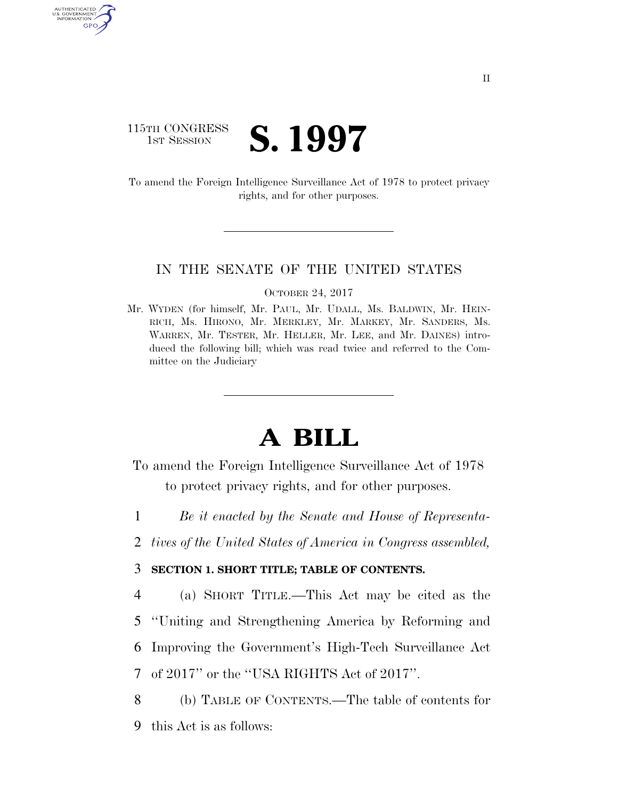### 115TH CONGRESS **1ST SESSION S. 1997**

AUTHENTICATED U.S. GOVERNMENT GPO

> To amend the Foreign Intelligence Surveillance Act of 1978 to protect privacy rights, and for other purposes.

### IN THE SENATE OF THE UNITED STATES

#### OCTOBER 24, 2017

Mr. WYDEN (for himself, Mr. PAUL, Mr. UDALL, Ms. BALDWIN, Mr. HEIN-RICH, Ms. HIRONO, Mr. MERKLEY, Mr. MARKEY, Mr. SANDERS, Ms. WARREN, Mr. TESTER, Mr. HELLER, Mr. LEE, and Mr. DAINES) introduced the following bill; which was read twice and referred to the Committee on the Judiciary

# **A BILL**

- To amend the Foreign Intelligence Surveillance Act of 1978 to protect privacy rights, and for other purposes.
- 1 *Be it enacted by the Senate and House of Representa-*
- 2 *tives of the United States of America in Congress assembled,*

### 3 **SECTION 1. SHORT TITLE; TABLE OF CONTENTS.**

4 (a) SHORT TITLE.—This Act may be cited as the

5 ''Uniting and Strengthening America by Reforming and

6 Improving the Government's High-Tech Surveillance Act

7 of 2017'' or the ''USA RIGHTS Act of 2017''.

8 (b) TABLE OF CONTENTS.—The table of contents for 9 this Act is as follows: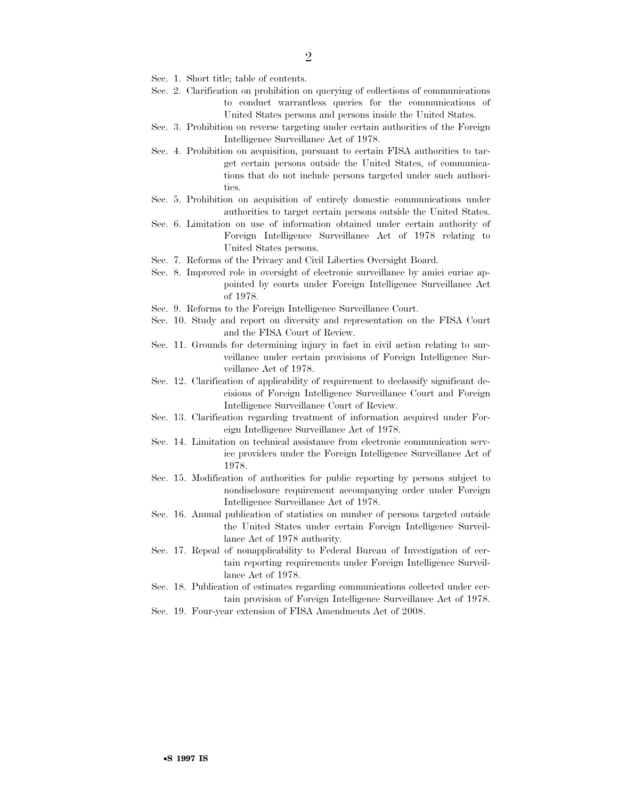- Sec. 1. Short title; table of contents.
- Sec. 2. Clarification on prohibition on querying of collections of communications to conduct warrantless queries for the communications of United States persons and persons inside the United States.
- Sec. 3. Prohibition on reverse targeting under certain authorities of the Foreign Intelligence Surveillance Act of 1978.
- Sec. 4. Prohibition on acquisition, pursuant to certain FISA authorities to target certain persons outside the United States, of communications that do not include persons targeted under such authorities.
- Sec. 5. Prohibition on acquisition of entirely domestic communications under authorities to target certain persons outside the United States.
- Sec. 6. Limitation on use of information obtained under certain authority of Foreign Intelligence Surveillance Act of 1978 relating to United States persons.
- Sec. 7. Reforms of the Privacy and Civil Liberties Oversight Board.
- Sec. 8. Improved role in oversight of electronic surveillance by amici curiae appointed by courts under Foreign Intelligence Surveillance Act of 1978.
- Sec. 9. Reforms to the Foreign Intelligence Surveillance Court.
- Sec. 10. Study and report on diversity and representation on the FISA Court and the FISA Court of Review.
- Sec. 11. Grounds for determining injury in fact in civil action relating to surveillance under certain provisions of Foreign Intelligence Surveillance Act of 1978.
- Sec. 12. Clarification of applicability of requirement to declassify significant decisions of Foreign Intelligence Surveillance Court and Foreign Intelligence Surveillance Court of Review.
- Sec. 13. Clarification regarding treatment of information acquired under Foreign Intelligence Surveillance Act of 1978.
- Sec. 14. Limitation on technical assistance from electronic communication service providers under the Foreign Intelligence Surveillance Act of 1978.
- Sec. 15. Modification of authorities for public reporting by persons subject to nondisclosure requirement accompanying order under Foreign Intelligence Surveillance Act of 1978.
- Sec. 16. Annual publication of statistics on number of persons targeted outside the United States under certain Foreign Intelligence Surveillance Act of 1978 authority.
- Sec. 17. Repeal of nonapplicability to Federal Bureau of Investigation of certain reporting requirements under Foreign Intelligence Surveillance Act of 1978.
- Sec. 18. Publication of estimates regarding communications collected under certain provision of Foreign Intelligence Surveillance Act of 1978.
- Sec. 19. Four-year extension of FISA Amendments Act of 2008.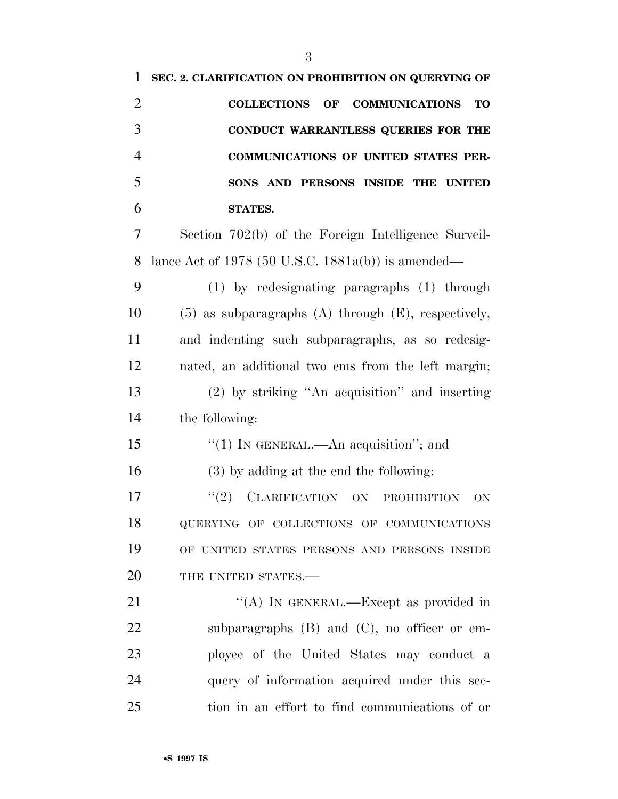| $\mathbf{1}$   | SEC. 2. CLARIFICATION ON PROHIBITION ON QUERYING OF                   |
|----------------|-----------------------------------------------------------------------|
| $\overline{2}$ | <b>COLLECTIONS</b><br><b>COMMUNICATIONS</b><br>$\bf{OF}$<br><b>TO</b> |
| 3              | CONDUCT WARRANTLESS QUERIES FOR THE                                   |
| $\overline{4}$ | <b>COMMUNICATIONS OF UNITED STATES PER-</b>                           |
| 5              | SONS AND PERSONS INSIDE THE UNITED                                    |
| 6              | <b>STATES.</b>                                                        |
| 7              | Section 702(b) of the Foreign Intelligence Surveil-                   |
| 8              | lance Act of 1978 (50 U.S.C. 1881a(b)) is amended—                    |
| 9              | $(1)$ by redesignating paragraphs $(1)$ through                       |
| 10             | $(5)$ as subparagraphs $(A)$ through $(E)$ , respectively,            |
| 11             | and indenting such subparagraphs, as so redesig-                      |
| 12             | nated, an additional two ems from the left margin;                    |
| 13             | $(2)$ by striking "An acquisition" and inserting                      |
| 14             | the following:                                                        |
| 15             | "(1) IN GENERAL.—An acquisition"; and                                 |
| 16             | $(3)$ by adding at the end the following:                             |
| 17             | CLARIFICATION ON<br>(2)<br><b>PROHIBITION</b><br>ON                   |
| 18             | QUERYING OF COLLECTIONS OF COMMUNICATIONS                             |
| 19             | OF UNITED STATES PERSONS AND PERSONS INSIDE                           |
| 20             | THE UNITED STATES.-                                                   |
| 21             | "(A) IN GENERAL.—Except as provided in                                |
| 22             | subparagraphs $(B)$ and $(C)$ , no officer or em-                     |
| 23             | ployee of the United States may conduct a                             |
| 24             | query of information acquired under this sec-                         |
| 25             | tion in an effort to find communications of or                        |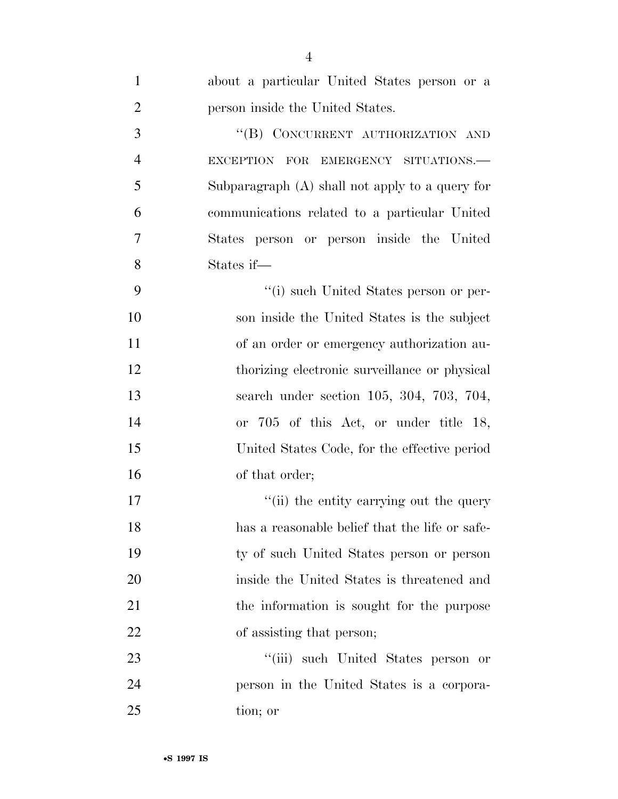| $\mathbf{1}$   | about a particular United States person or a      |
|----------------|---------------------------------------------------|
| $\overline{2}$ | person inside the United States.                  |
| 3              | "(B) CONCURRENT AUTHORIZATION AND                 |
| $\overline{4}$ | EXCEPTION FOR EMERGENCY SITUATIONS.               |
| 5              | Subparagraph $(A)$ shall not apply to a query for |
| 6              | communications related to a particular United     |
| 7              | States person or person inside the United         |
| 8              | States if—                                        |
| 9              | "(i) such United States person or per-            |
| 10             | son inside the United States is the subject       |
| 11             | of an order or emergency authorization au-        |
| 12             | thorizing electronic surveillance or physical     |
| 13             | search under section 105, 304, 703, 704,          |
| 14             | or 705 of this Act, or under title 18,            |
| 15             | United States Code, for the effective period      |
| 16             | of that order;                                    |
| 17             | "(ii) the entity carrying out the query           |
| 18             | has a reasonable belief that the life or safe-    |
| 19             | ty of such United States person or person         |
| 20             | inside the United States is threatened and        |
| 21             | the information is sought for the purpose         |
| 22             | of assisting that person;                         |
| 23             | "(iii) such United States person or               |
| 24             | person in the United States is a corpora-         |
| 25             | tion; or                                          |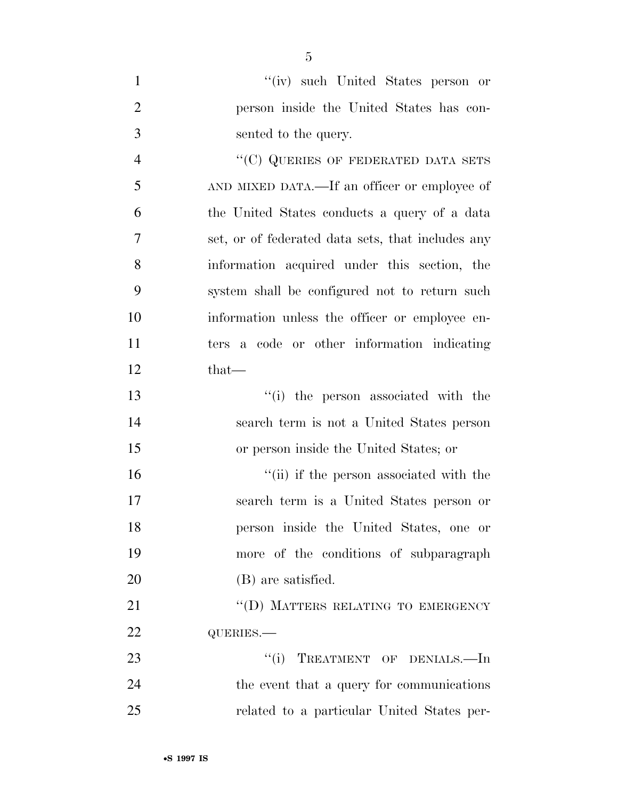| $\mathbf{1}$   | "(iv) such United States person or                |
|----------------|---------------------------------------------------|
| $\overline{2}$ | person inside the United States has con-          |
| 3              | sented to the query.                              |
| $\overline{4}$ | "(C) QUERIES OF FEDERATED DATA SETS               |
| 5              | AND MIXED DATA.—If an officer or employee of      |
| 6              | the United States conducts a query of a data      |
| 7              | set, or of federated data sets, that includes any |
| 8              | information acquired under this section, the      |
| 9              | system shall be configured not to return such     |
| 10             | information unless the officer or employee en-    |
| 11             | ters a code or other information indicating       |
| 12             | $that-$                                           |
| 13             | "(i) the person associated with the               |
| 14             | search term is not a United States person         |
| 15             | or person inside the United States; or            |
| 16             | "(ii) if the person associated with the           |
| 17             | search term is a United States person or          |
| 18             | person inside the United States, one or           |
| 19             | more of the conditions of subparagraph            |
| 20             | (B) are satisfied.                                |
| 21             | "(D) MATTERS RELATING TO EMERGENCY                |
| 22             | QUERIES.-                                         |
| 23             | ``(i)<br>TREATMENT OF DENIALS.-In                 |
| 24             | the event that a query for communications         |
| 25             | related to a particular United States per-        |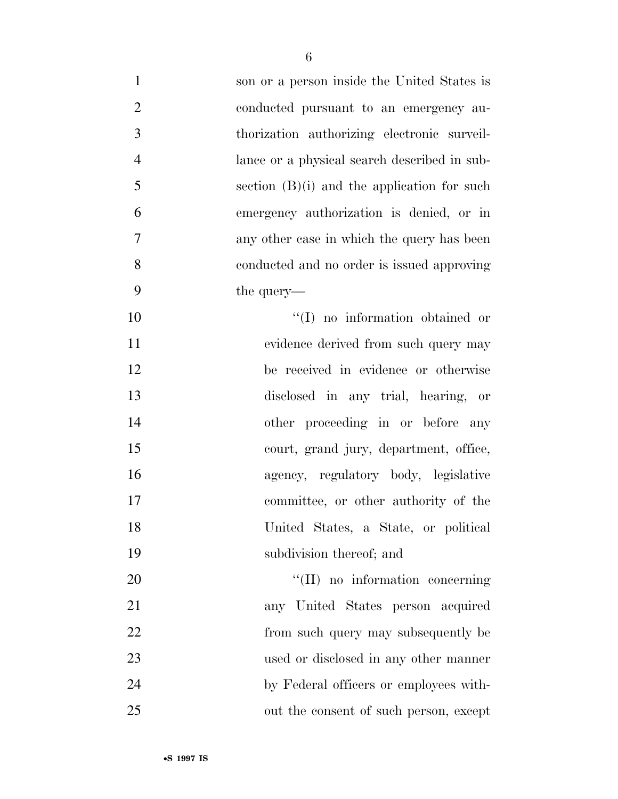| $\mathbf{1}$   | son or a person inside the United States is   |
|----------------|-----------------------------------------------|
| $\overline{2}$ | conducted pursuant to an emergency au-        |
| 3              | thorization authorizing electronic surveil-   |
| $\overline{4}$ | lance or a physical search described in sub-  |
| 5              | section $(B)(i)$ and the application for such |
| 6              | emergency authorization is denied, or in      |
| 7              | any other case in which the query has been    |
| 8              | conducted and no order is issued approving    |
| 9              | the query—                                    |
| 10             | $\lq(1)$ no information obtained or           |
| 11             | evidence derived from such query may          |
| 12             | be received in evidence or otherwise          |
| 13             | disclosed in any trial, hearing, or           |
| 14             | other proceeding in or before any             |
| 15             | court, grand jury, department, office,        |
| 16             | agency, regulatory body, legislative          |
| 17             | committee, or other authority of the          |
| 18             | United States, a State, or political          |
| 19             | subdivision thereof; and                      |
| 20             | "(II) no information concerning               |
| 21             | any United States person acquired             |
| 22             | from such query may subsequently be           |
| 23             | used or disclosed in any other manner         |
| 24             | by Federal officers or employees with-        |
| 25             | out the consent of such person, except        |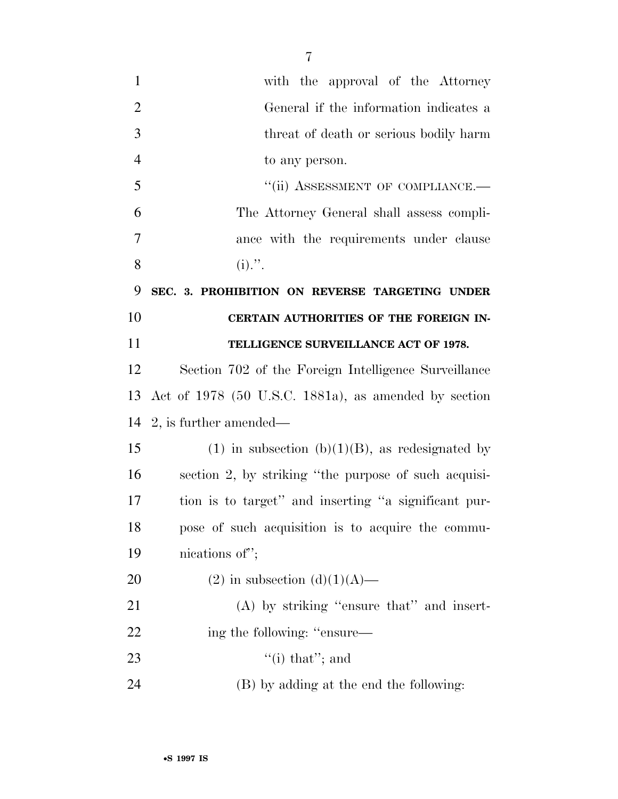with the approval of the Attorney General if the information indicates a threat of death or serious bodily harm to any person. 5 "(ii) ASSESSMENT OF COMPLIANCE.— The Attorney General shall assess compli- ance with the requirements under clause 8 (i).". **SEC. 3. PROHIBITION ON REVERSE TARGETING UNDER CERTAIN AUTHORITIES OF THE FOREIGN IN- TELLIGENCE SURVEILLANCE ACT OF 1978.**  Section 702 of the Foreign Intelligence Surveillance Act of 1978 (50 U.S.C. 1881a), as amended by section 2, is further amended— 15 (1) in subsection (b)(1)(B), as redesignated by section 2, by striking ''the purpose of such acquisi- tion is to target'' and inserting ''a significant pur- pose of such acquisition is to acquire the commu- nications of''; 20 (2) in subsection  $(d)(1)(A)$ — 21 (A) by striking "ensure that" and insert-22 ing the following: "ensure—

- 23  $\cdot$  (i) that"; and
- (B) by adding at the end the following: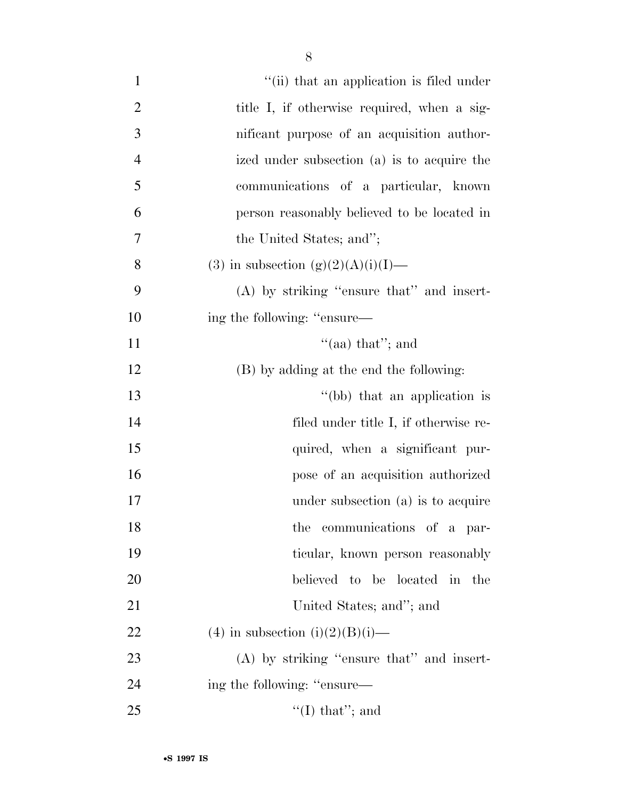| $\mathbf{1}$   | "(ii) that an application is filed under    |
|----------------|---------------------------------------------|
| $\overline{2}$ | title I, if otherwise required, when a sig- |
| $\mathfrak{Z}$ | nificant purpose of an acquisition author-  |
| $\overline{4}$ | ized under subsection (a) is to acquire the |
| 5              | communications of a particular, known       |
| 6              | person reasonably believed to be located in |
| 7              | the United States; and";                    |
| 8              | (3) in subsection $(g)(2)(A)(i)(I)$ —       |
| 9              | $(A)$ by striking "ensure that" and insert- |
| 10             | ing the following: "ensure—                 |
| 11             | "(aa) that"; and                            |
| 12             | (B) by adding at the end the following:     |
| 13             | "(bb) that an application is                |
| 14             | filed under title I, if otherwise re-       |
| 15             | quired, when a significant pur-             |
| 16             | pose of an acquisition authorized           |
| 17             | under subsection (a) is to acquire          |
| 18             | the communications of a par-                |
| 19             | ticular, known person reasonably            |
| 20             | believed to be located in the               |
| 21             | United States; and"; and                    |
| 22             | (4) in subsection (i)(2)(B)(i)—             |
| 23             | $(A)$ by striking "ensure that" and insert- |
| 24             | ing the following: "ensure—                 |
| 25             | $\lq\lq$ (I) that"; and                     |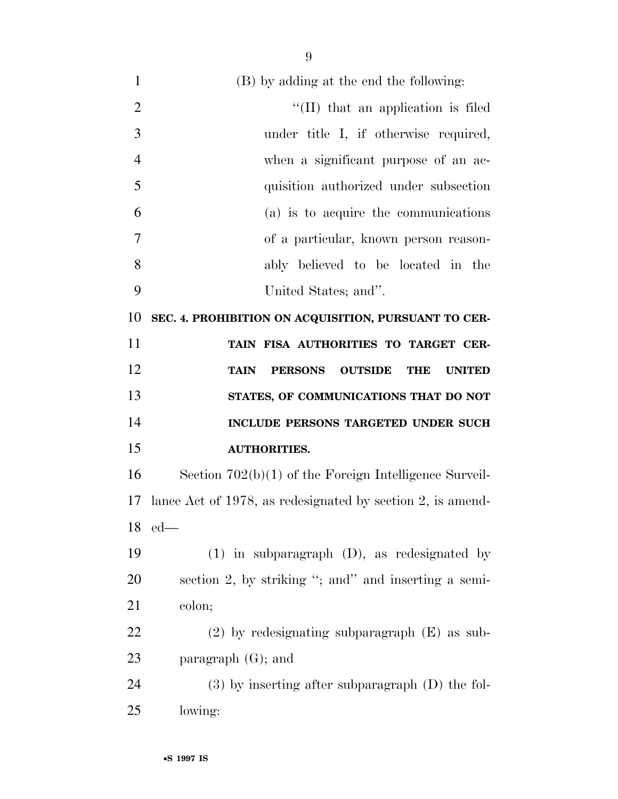(B) by adding at the end the following:  $\frac{1}{2}$   $\frac{1}{2}$  that an application is filed under title I, if otherwise required, when a significant purpose of an ac- quisition authorized under subsection (a) is to acquire the communications of a particular, known person reason- ably believed to be located in the United States; and''. **SEC. 4. PROHIBITION ON ACQUISITION, PURSUANT TO CER- TAIN FISA AUTHORITIES TO TARGET CER- TAIN PERSONS OUTSIDE THE UNITED STATES, OF COMMUNICATIONS THAT DO NOT INCLUDE PERSONS TARGETED UNDER SUCH AUTHORITIES.**  Section 702(b)(1) of the Foreign Intelligence Surveil- lance Act of 1978, as redesignated by section 2, is amend- ed— (1) in subparagraph (D), as redesignated by section 2, by striking ''; and'' and inserting a semi- colon; (2) by redesignating subparagraph (E) as sub- paragraph (G); and (3) by inserting after subparagraph (D) the fol-lowing: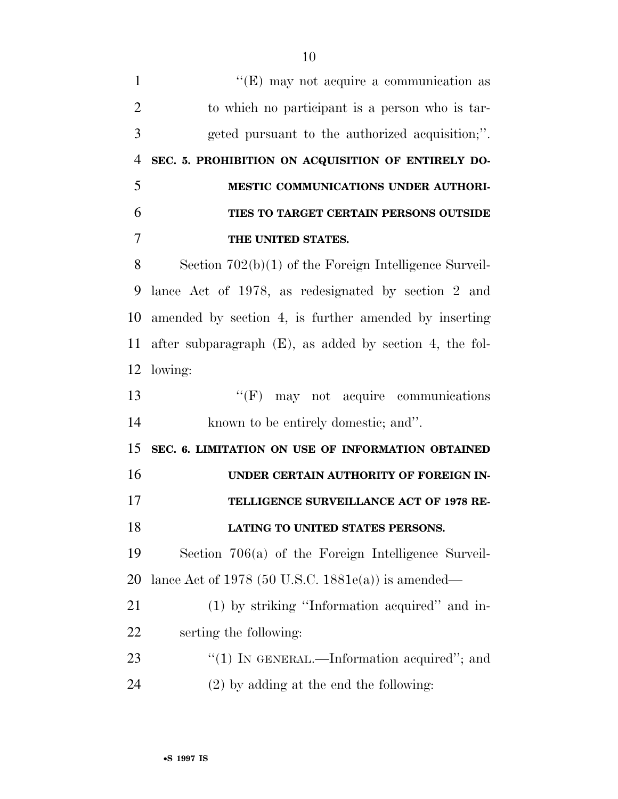$''(E)$  may not acquire a communication as to which no participant is a person who is tar- geted pursuant to the authorized acquisition;''. **SEC. 5. PROHIBITION ON ACQUISITION OF ENTIRELY DO- MESTIC COMMUNICATIONS UNDER AUTHORI- TIES TO TARGET CERTAIN PERSONS OUTSIDE THE UNITED STATES.**  Section 702(b)(1) of the Foreign Intelligence Surveil- lance Act of 1978, as redesignated by section 2 and amended by section 4, is further amended by inserting after subparagraph (E), as added by section 4, the fol- lowing: 13 ''(F) may not acquire communications known to be entirely domestic; and''. **SEC. 6. LIMITATION ON USE OF INFORMATION OBTAINED UNDER CERTAIN AUTHORITY OF FOREIGN IN- TELLIGENCE SURVEILLANCE ACT OF 1978 RE- LATING TO UNITED STATES PERSONS.**  Section 706(a) of the Foreign Intelligence Surveil- lance Act of 1978 (50 U.S.C. 1881e(a)) is amended— (1) by striking ''Information acquired'' and in- serting the following: 23 "(1) IN GENERAL.—Information acquired"; and (2) by adding at the end the following: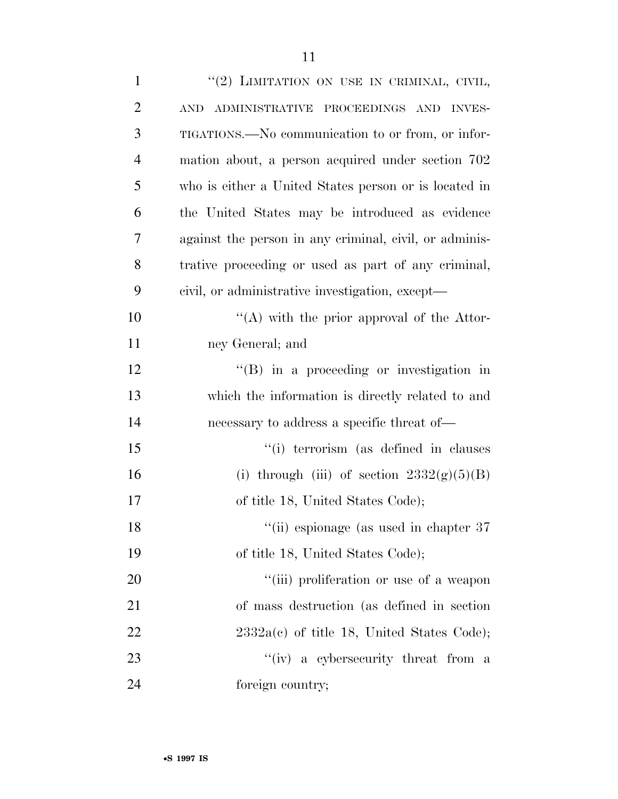| $\mathbf{1}$   | "(2) LIMITATION ON USE IN CRIMINAL, CIVIL,             |
|----------------|--------------------------------------------------------|
| $\overline{2}$ | <b>AND</b><br>ADMINISTRATIVE PROCEEDINGS AND INVES-    |
| 3              | TIGATIONS.—No communication to or from, or infor-      |
| $\overline{4}$ | mation about, a person acquired under section 702      |
| 5              | who is either a United States person or is located in  |
| 6              | the United States may be introduced as evidence        |
| 7              | against the person in any criminal, civil, or adminis- |
| 8              | trative proceeding or used as part of any criminal,    |
| 9              | civil, or administrative investigation, except—        |
| 10             | "(A) with the prior approval of the Attor-             |
| 11             | ney General; and                                       |
| 12             | $\lq\lq$ (B) in a proceeding or investigation in       |
| 13             | which the information is directly related to and       |
| 14             | necessary to address a specific threat of—             |
| 15             | "(i) terrorism (as defined in clauses)                 |
| 16             | (i) through (iii) of section $2332(g)(5)(B)$           |
| 17             | of title 18, United States Code);                      |
| 18             | "(ii) espionage (as used in chapter 37)                |
| 19             | of title 18, United States Code);                      |
| 20             | "(iii) proliferation or use of a weapon                |
| 21             | of mass destruction (as defined in section)            |
| 22             | $2332a(c)$ of title 18, United States Code);           |
| 23             | "(iv) a cybersecurity threat from a                    |
| 24             | foreign country;                                       |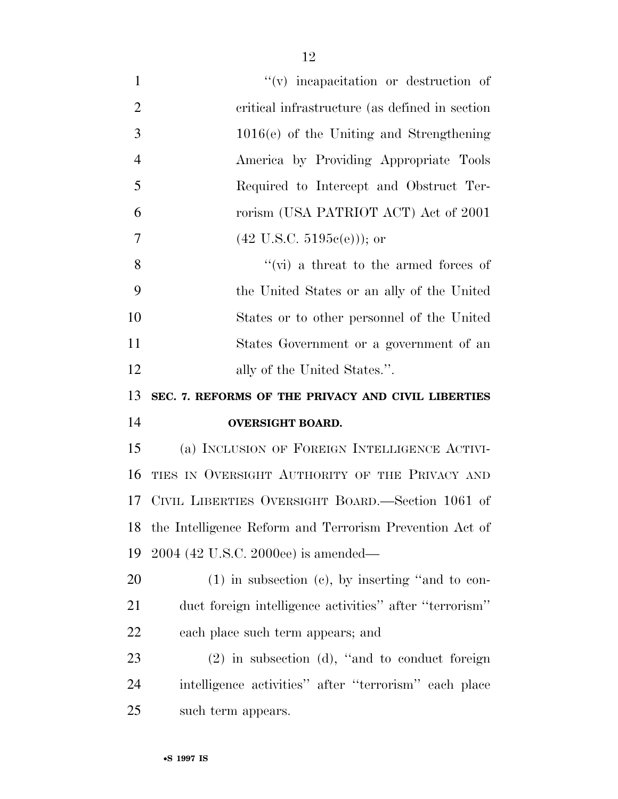| $\mathbf{1}$   | $``(v)$ incapacitation or destruction of                |
|----------------|---------------------------------------------------------|
| $\overline{2}$ | critical infrastructure (as defined in section)         |
| 3              | $1016(e)$ of the Uniting and Strengthening              |
| $\overline{4}$ | America by Providing Appropriate Tools                  |
| 5              | Required to Intercept and Obstruct Ter-                 |
| 6              | rorism (USA PATRIOT ACT) Act of 2001                    |
| $\overline{7}$ | $(42 \text{ U.S.C. } 5195c(e))$ ; or                    |
| 8              | "(vi) a threat to the armed forces of                   |
| 9              | the United States or an ally of the United              |
| 10             | States or to other personnel of the United              |
| 11             | States Government or a government of an                 |
| 12             | ally of the United States.".                            |
| 13             | SEC. 7. REFORMS OF THE PRIVACY AND CIVIL LIBERTIES      |
| 14             | <b>OVERSIGHT BOARD.</b>                                 |
| 15             | (a) INCLUSION OF FOREIGN INTELLIGENCE ACTIVI-           |
| 16             | TIES IN OVERSIGHT AUTHORITY OF THE PRIVACY AND          |
|                |                                                         |
| 17             | CIVIL LIBERTIES OVERSIGHT BOARD.—Section 1061 of        |
| 18             | the Intelligence Reform and Terrorism Prevention Act of |
| 19             | 2004 (42 U.S.C. 2000ee) is amended—                     |
| 20             | $(1)$ in subsection $(e)$ , by inserting "and to con-   |
| 21             | duct foreign intelligence activities" after "terrorism" |
| 22             | each place such term appears; and                       |
| 23             | $(2)$ in subsection (d), "and to conduct foreign        |
| 24             | intelligence activities" after "terrorism" each place   |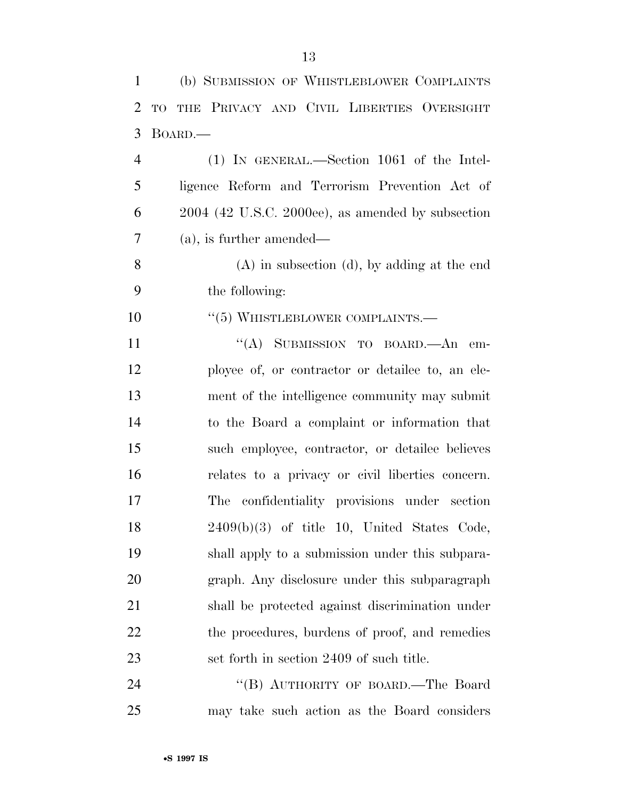| 1              | (b) SUBMISSION OF WHISTLEBLOWER COMPLAINTS          |
|----------------|-----------------------------------------------------|
| $\overline{2}$ | THE PRIVACY AND CIVIL LIBERTIES OVERSIGHT<br>TO     |
| 3              | BOARD.—                                             |
| $\overline{4}$ | $(1)$ IN GENERAL.—Section 1061 of the Intel-        |
| 5              | ligence Reform and Terrorism Prevention Act of      |
| 6              | $2004$ (42 U.S.C. 2000ee), as amended by subsection |
| $\overline{7}$ | $(a)$ , is further amended—                         |
| 8              | $(A)$ in subsection $(d)$ , by adding at the end    |
| 9              | the following:                                      |
| 10             | $\cdot$ (5) WHISTLEBLOWER COMPLAINTS.—              |
| 11             | "(A) SUBMISSION TO BOARD.—An em-                    |
| 12             | ployee of, or contractor or detailee to, an ele-    |
| 13             | ment of the intelligence community may submit       |
| 14             | to the Board a complaint or information that        |
| 15             | such employee, contractor, or detailee believes     |
| 16             | relates to a privacy or civil liberties concern.    |
| 17             | The confidentiality provisions under section        |
| 18             | $2409(b)(3)$ of title 10, United States Code,       |
| 19             | shall apply to a submission under this subpara-     |
| 20             | graph. Any disclosure under this subparagraph       |
| 21             | shall be protected against discrimination under     |
| 22             | the procedures, burdens of proof, and remedies      |
| 23             | set forth in section 2409 of such title.            |
| 24             | "(B) AUTHORITY OF BOARD.—The Board                  |
| 25             | may take such action as the Board considers         |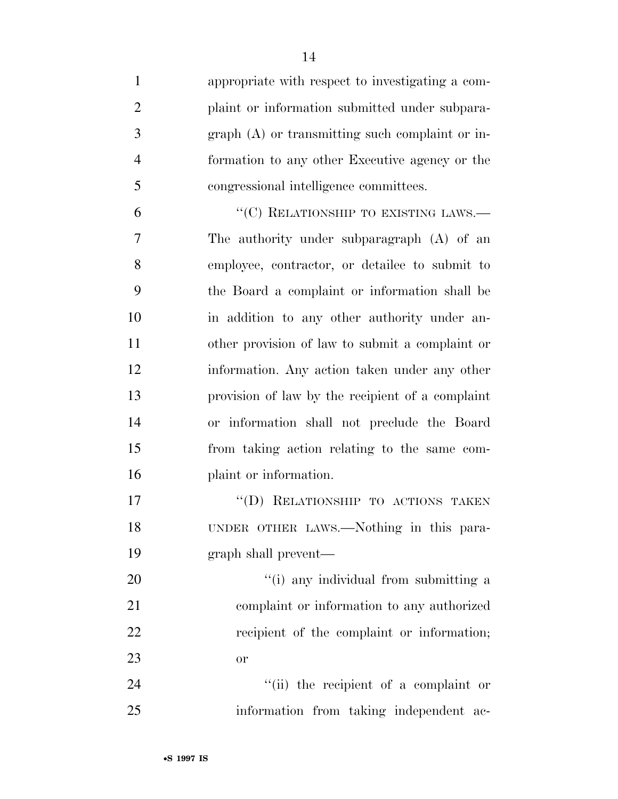appropriate with respect to investigating a com- plaint or information submitted under subpara- graph (A) or transmitting such complaint or in- formation to any other Executive agency or the congressional intelligence committees. 6 "(C) RELATIONSHIP TO EXISTING LAWS.— The authority under subparagraph (A) of an employee, contractor, or detailee to submit to the Board a complaint or information shall be in addition to any other authority under an- other provision of law to submit a complaint or information. Any action taken under any other provision of law by the recipient of a complaint or information shall not preclude the Board from taking action relating to the same com- plaint or information. 17 "(D) RELATIONSHIP TO ACTIONS TAKEN UNDER OTHER LAWS.—Nothing in this para- graph shall prevent—  $\frac{1}{1}$  any individual from submitting a complaint or information to any authorized 22 recipient of the complaint or information; or 24 ''(ii) the recipient of a complaint or

information from taking independent ac-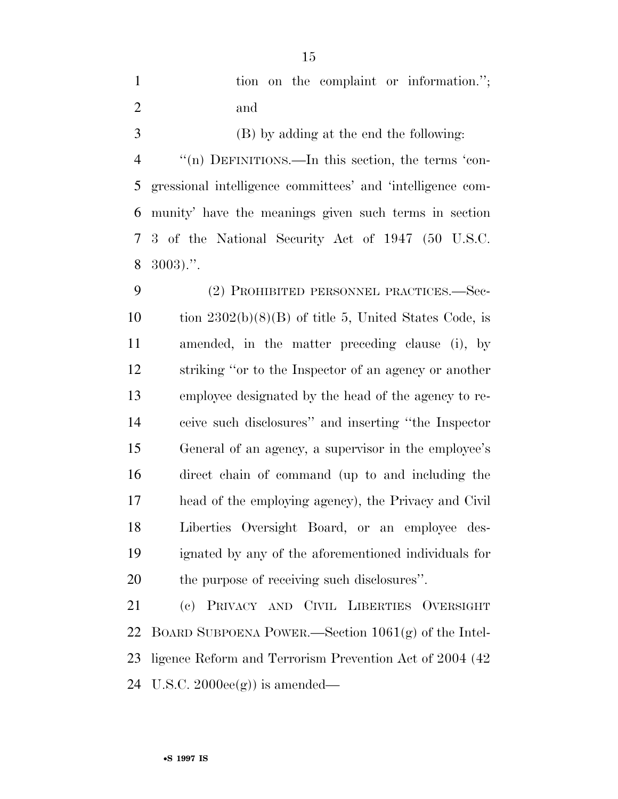|     |  |  | tion on the complaint or information."; |
|-----|--|--|-----------------------------------------|
| and |  |  |                                         |

 (B) by adding at the end the following: ''(n) DEFINITIONS.—In this section, the terms 'con- gressional intelligence committees' and 'intelligence com- munity' have the meanings given such terms in section 3 of the National Security Act of 1947 (50 U.S.C. 3003).''.

 (2) PROHIBITED PERSONNEL PRACTICES.—Sec-10 tion  $2302(b)(8)(B)$  of title 5, United States Code, is amended, in the matter preceding clause (i), by striking ''or to the Inspector of an agency or another employee designated by the head of the agency to re- ceive such disclosures'' and inserting ''the Inspector General of an agency, a supervisor in the employee's direct chain of command (up to and including the head of the employing agency), the Privacy and Civil Liberties Oversight Board, or an employee des- ignated by any of the aforementioned individuals for the purpose of receiving such disclosures''.

 (c) PRIVACY AND CIVIL LIBERTIES OVERSIGHT BOARD SUBPOENA POWER.—Section 1061(g) of the Intel- ligence Reform and Terrorism Prevention Act of 2004 (42 U.S.C. 2000ee(g)) is amended—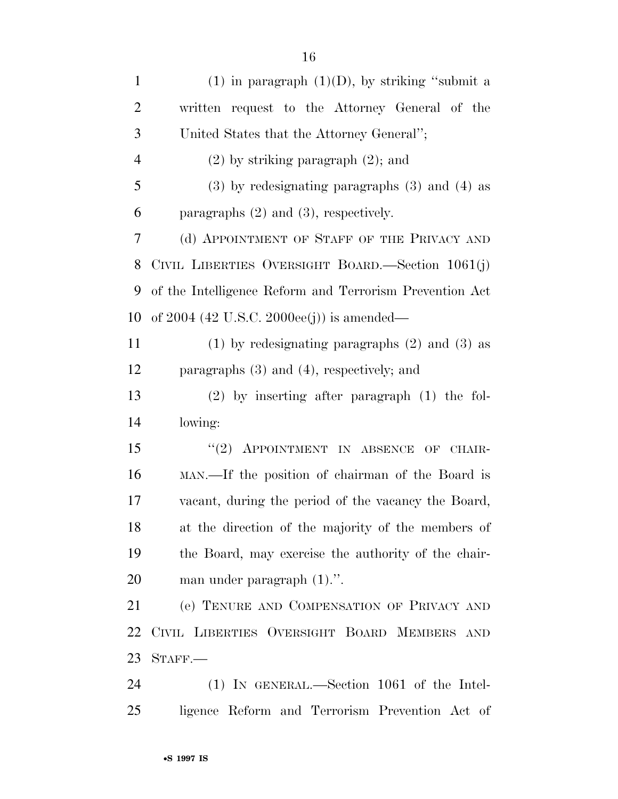| $\mathbf{1}$   | (1) in paragraph $(1)(D)$ , by striking "submit a       |
|----------------|---------------------------------------------------------|
| $\overline{2}$ | written request to the Attorney General of the          |
| 3              | United States that the Attorney General";               |
| $\overline{4}$ | $(2)$ by striking paragraph $(2)$ ; and                 |
| 5              | $(3)$ by redesignating paragraphs $(3)$ and $(4)$ as    |
| 6              | paragraphs $(2)$ and $(3)$ , respectively.              |
| 7              | (d) APPOINTMENT OF STAFF OF THE PRIVACY AND             |
| 8              | CIVIL LIBERTIES OVERSIGHT BOARD.—Section 1061(j)        |
| 9              | of the Intelligence Reform and Terrorism Prevention Act |
| 10             | of 2004 (42 U.S.C. 2000ee(j)) is amended—               |
| 11             | $(1)$ by redesignating paragraphs $(2)$ and $(3)$ as    |
| 12             | paragraphs $(3)$ and $(4)$ , respectively; and          |
| 13             | $(2)$ by inserting after paragraph $(1)$ the fol-       |
| 14             | lowing:                                                 |
| 15             | "(2) APPOINTMENT IN ABSENCE OF CHAIR-                   |
| 16             | MAN.—If the position of chairman of the Board is        |
| 17             | vacant, during the period of the vacancy the Board,     |
| 18             | at the direction of the majority of the members of      |
| 19             | the Board, may exercise the authority of the chair-     |
| 20             | man under paragraph (1).".                              |
| 21             | (e) TENURE AND COMPENSATION OF PRIVACY AND              |
| 22             | CIVIL LIBERTIES OVERSIGHT BOARD MEMBERS AND             |
| 23             | $STAFF$ .                                               |
| 24             | $(1)$ IN GENERAL.—Section 1061 of the Intel-            |
| 25             | ligence Reform and Terrorism Prevention Act of          |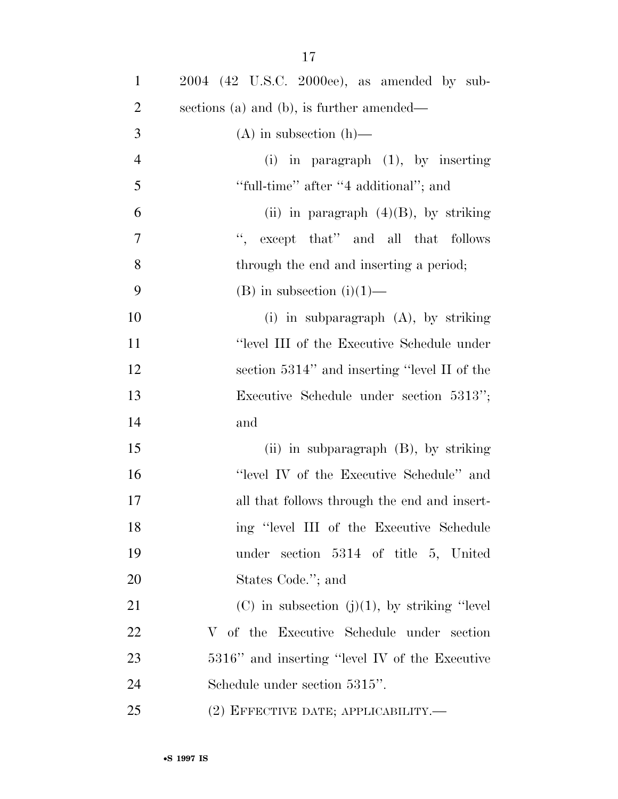| $\mathbf{1}$   | $2004$ (42 U.S.C. 2000ee), as amended by sub-      |
|----------------|----------------------------------------------------|
| $\overline{2}$ | sections (a) and (b), is further amended—          |
| 3              | $(A)$ in subsection $(h)$ —                        |
| $\overline{4}$ | (i) in paragraph $(1)$ , by inserting              |
| 5              | "full-time" after "4 additional"; and              |
| 6              | (ii) in paragraph $(4)(B)$ , by striking           |
| $\tau$         | ", except that" and all that follows               |
| 8              | through the end and inserting a period;            |
| 9              | $(B)$ in subsection $(i)(1)$ —                     |
| 10             | (i) in subparagraph $(A)$ , by striking            |
| 11             | "level III of the Executive Schedule under         |
| 12             | section 5314" and inserting "level II of the       |
| 13             | Executive Schedule under section 5313";            |
| 14             | and                                                |
| 15             | $(ii)$ in subparagraph $(B)$ , by striking         |
| 16             | "level IV of the Executive Schedule" and           |
| 17             | all that follows through the end and insert-       |
| 18             | ing "level III of the Executive Schedule           |
| 19             | under section 5314 of title 5, United              |
| 20             | States Code."; and                                 |
| 21             | $(C)$ in subsection $(j)(1)$ , by striking "level" |
| 22             | V of the Executive Schedule under section          |
| 23             | 5316" and inserting "level IV of the Executive     |
| 24             | Schedule under section 5315".                      |
| 25             | $(2)$ EFFECTIVE DATE; APPLICABILITY.—              |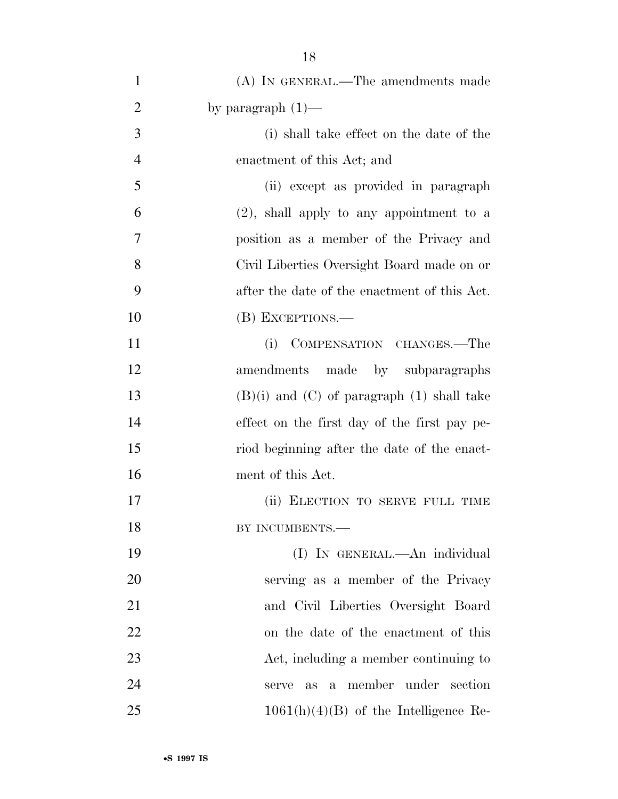| $\mathbf{1}$   | (A) IN GENERAL.—The amendments made                    |
|----------------|--------------------------------------------------------|
| $\overline{2}$ | by paragraph $(1)$ —                                   |
| 3              | (i) shall take effect on the date of the               |
| $\overline{4}$ | enactment of this Act; and                             |
| 5              | (ii) except as provided in paragraph                   |
| 6              | $(2)$ , shall apply to any appointment to a            |
| 7              | position as a member of the Privacy and                |
| 8              | Civil Liberties Oversight Board made on or             |
| 9              | after the date of the enactment of this Act.           |
| 10             | (B) EXCEPTIONS.—                                       |
| 11             | COMPENSATION CHANGES.—The<br>(i)                       |
| 12             | amendments made by subparagraphs                       |
| 13             | $(B)(i)$ and $(C)$ of paragraph $(1)$ shall take       |
| 14             | effect on the first day of the first pay pe-           |
| 15             | riod beginning after the date of the enact-            |
| 16             | ment of this Act.                                      |
| 17             | (ii) ELECTION TO SERVE FULL TIME                       |
| 18             | BY INCUMBENTS.-                                        |
| 19             | (I) IN GENERAL.—An individual                          |
| 20             | serving as a member of the Privacy                     |
| 21             | and Civil Liberties Oversight Board                    |
| 22             | on the date of the enactment of this                   |
| 23             | Act, including a member continuing to                  |
| 24             | member under<br>section<br>serve<br>as<br>$\mathbf{a}$ |
| 25             | $1061(h)(4)(B)$ of the Intelligence Re-                |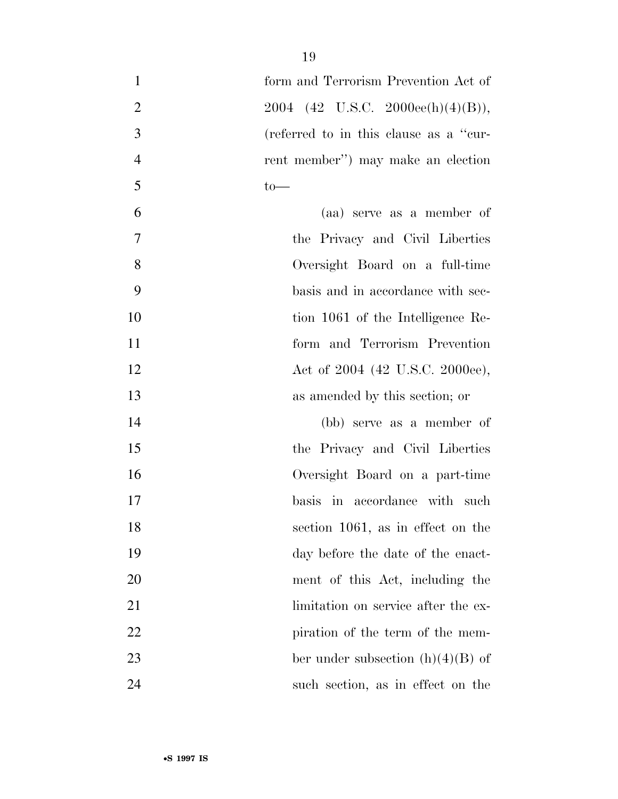| $\mathbf{1}$   | form and Terrorism Prevention Act of   |
|----------------|----------------------------------------|
| $\mathbf{2}$   | 2004 (42 U.S.C. 2000ee(h)(4)(B)),      |
| $\mathfrak{Z}$ | (referred to in this clause as a "cur- |
| $\overline{4}$ | rent member") may make an election     |
| 5              | $to-$                                  |
| 6              | (aa) serve as a member of              |
| $\overline{7}$ | the Privacy and Civil Liberties        |
| 8              | Oversight Board on a full-time         |
| 9              | basis and in accordance with sec-      |
| 10             | tion 1061 of the Intelligence Re-      |
| 11             | form and Terrorism Prevention          |
| 12             | Act of 2004 (42 U.S.C. 2000ee),        |
| 13             | as amended by this section; or         |
| 14             | (bb) serve as a member of              |
| 15             | the Privacy and Civil Liberties        |
| 16             | Oversight Board on a part-time         |
| 17             | basis in accordance with such          |
| 18             | section 1061, as in effect on the      |
| 19             | day before the date of the enact-      |
| 20             | ment of this Act, including the        |
| 21             | limitation on service after the ex-    |
| 22             | piration of the term of the mem-       |
| 23             | ber under subsection $(h)(4)(B)$ of    |
| 24             | such section, as in effect on the      |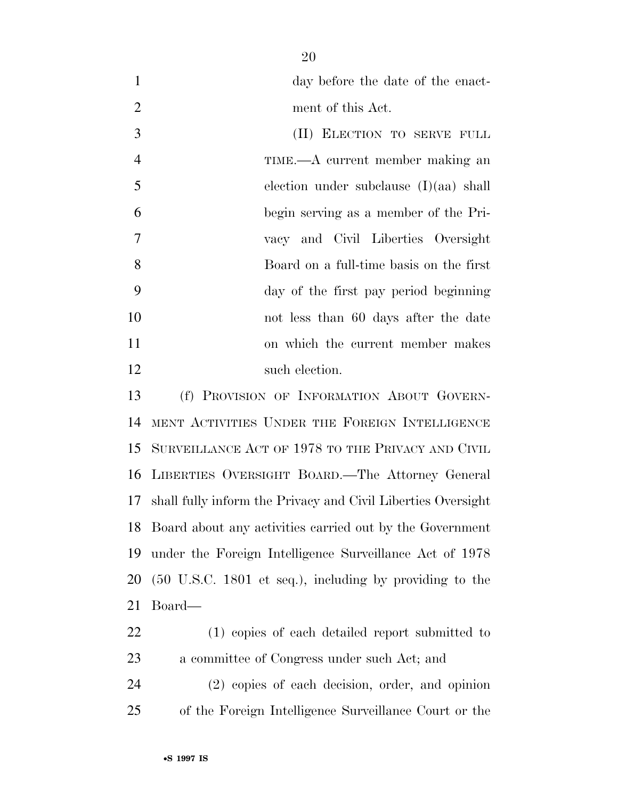| day before the date of the enact- |
|-----------------------------------|
| ment of this Act.                 |

| 3              | (II) ELECTION TO SERVE FULL              |
|----------------|------------------------------------------|
| $\overline{4}$ | TIME.—A current member making an         |
| 5              | election under subclause $(I)(aa)$ shall |
| 6              | begin serving as a member of the Pri-    |
| $\overline{7}$ | vacy and Civil Liberties Oversight       |
| 8              | Board on a full-time basis on the first  |
| 9              | day of the first pay period beginning    |
| 10             | not less than 60 days after the date     |
| 11             | on which the current member makes        |
| 12             | such election.                           |

 (f) PROVISION OF INFORMATION ABOUT GOVERN- MENT ACTIVITIES UNDER THE FOREIGN INTELLIGENCE SURVEILLANCE ACT OF 1978 TO THE PRIVACY AND CIVIL LIBERTIES OVERSIGHT BOARD.—The Attorney General shall fully inform the Privacy and Civil Liberties Oversight Board about any activities carried out by the Government under the Foreign Intelligence Surveillance Act of 1978 (50 U.S.C. 1801 et seq.), including by providing to the Board—

 (1) copies of each detailed report submitted to a committee of Congress under such Act; and

 (2) copies of each decision, order, and opinion of the Foreign Intelligence Surveillance Court or the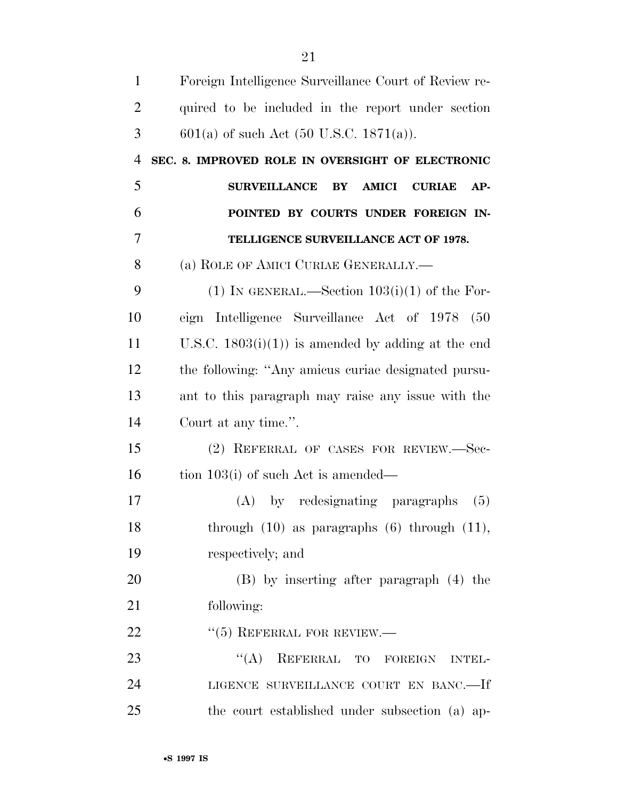| $\mathbf{1}$   | Foreign Intelligence Surveillance Court of Review re-               |
|----------------|---------------------------------------------------------------------|
| $\overline{2}$ | quired to be included in the report under section                   |
| 3              | $601(a)$ of such Act (50 U.S.C. 1871(a)).                           |
| $\overline{4}$ | SEC. 8. IMPROVED ROLE IN OVERSIGHT OF ELECTRONIC                    |
| 5              | <b>SURVEILLANCE</b><br><b>AMICI</b><br><b>CURIAE</b><br>BY<br>$AP-$ |
| 6              | POINTED BY COURTS UNDER FOREIGN IN-                                 |
| 7              | TELLIGENCE SURVEILLANCE ACT OF 1978.                                |
| 8              | (a) ROLE OF AMICI CURIAE GENERALLY.—                                |
| 9              | (1) IN GENERAL.—Section $103(i)(1)$ of the For-                     |
| 10             | eign Intelligence Surveillance Act of 1978 (50                      |
| 11             | U.S.C. $1803(i)(1)$ is amended by adding at the end                 |
| 12             | the following: "Any amicus curiae designated pursu-                 |
| 13             | ant to this paragraph may raise any issue with the                  |
| 14             | Court at any time.".                                                |
| 15             | (2) REFERRAL OF CASES FOR REVIEW.-Sec-                              |
| 16             | tion $103(i)$ of such Act is amended—                               |
| 17             | by redesignating paragraphs<br>(A)<br>(5)                           |
| 18             | through $(10)$ as paragraphs $(6)$ through $(11)$ ,                 |
| 19             | respectively; and                                                   |
| 20             | (B) by inserting after paragraph (4) the                            |
| 21             | following:                                                          |
| 22             | $``(5)$ REFERRAL FOR REVIEW.—                                       |
| 23             | $\lq\lq (A)$<br>REFERRAL TO FOREIGN INTEL-                          |
| 24             | LIGENCE SURVEILLANCE COURT EN BANC.-If                              |
| 25             | the court established under subsection (a) ap-                      |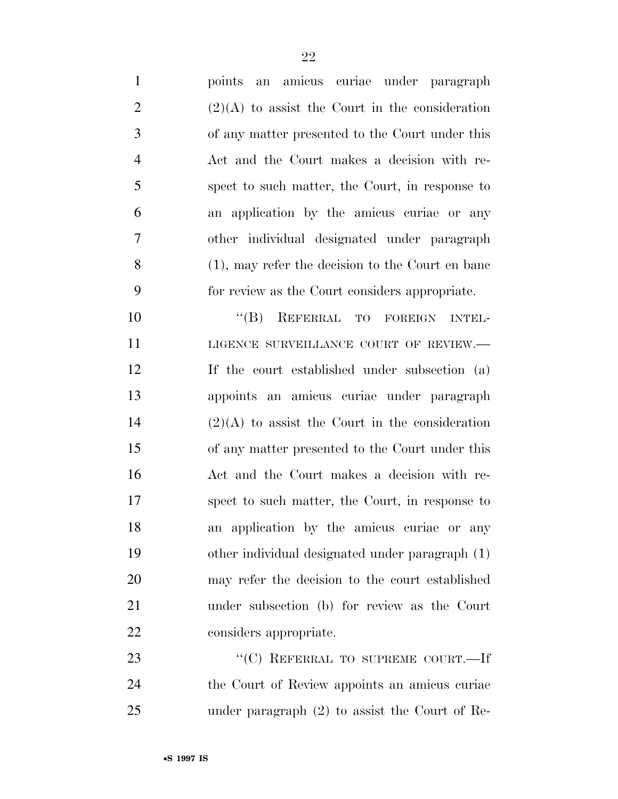| $\mathbf{1}$   | an amicus curiae under paragraph<br>points           |
|----------------|------------------------------------------------------|
| $\overline{2}$ | $(2)(A)$ to assist the Court in the consideration    |
| 3              | of any matter presented to the Court under this      |
| $\overline{4}$ | Act and the Court makes a decision with re-          |
| 5              | spect to such matter, the Court, in response to      |
| 6              | an application by the amicus curiae or any           |
| $\overline{7}$ | other individual designated under paragraph          |
| 8              | $(1)$ , may refer the decision to the Court en bane  |
| 9              | for review as the Court considers appropriate.       |
| 10             | REFERRAL TO FOREIGN<br>$\lq\lq (B)$<br><b>INTEL-</b> |
| 11             | LIGENCE SURVEILLANCE COURT OF REVIEW.-               |
| 12             | If the court established under subsection (a)        |
| 13             | appoints an amicus curiae under paragraph            |
| 14             | $(2)(A)$ to assist the Court in the consideration    |
| 15             | of any matter presented to the Court under this      |
| 16             | Act and the Court makes a decision with re-          |
| 17             | spect to such matter, the Court, in response to      |
| 18             | an application by the amicus curiae or any           |
| 19             | other individual designated under paragraph (1)      |
| 20             | may refer the decision to the court established      |
| 21             | under subsection (b) for review as the Court         |
| 22             | considers appropriate.                               |
| 23             | "(C) REFERRAL TO SUPREME COURT.—If                   |
| 24             | the Court of Review appoints an amicus curiae        |
| 25             | under paragraph $(2)$ to assist the Court of Re-     |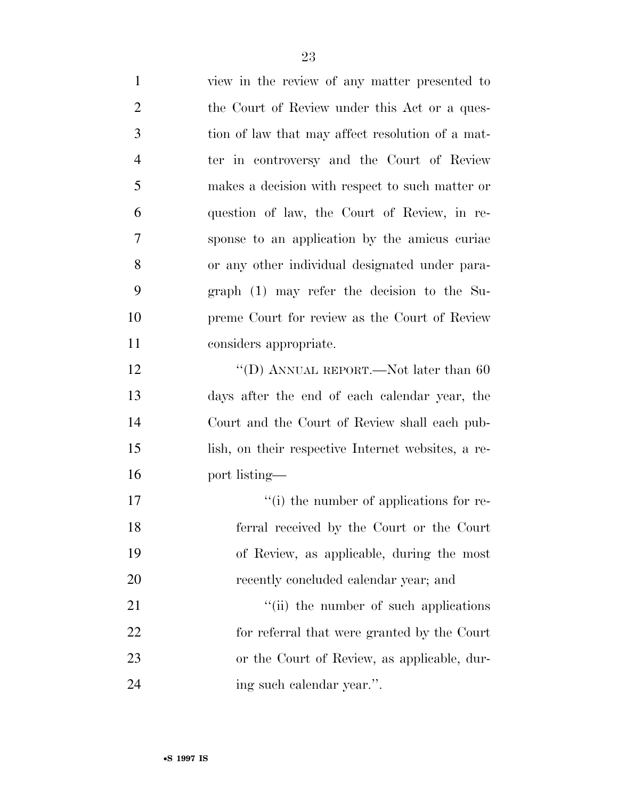view in the review of any matter presented to 2 the Court of Review under this Act or a ques- tion of law that may affect resolution of a mat- ter in controversy and the Court of Review makes a decision with respect to such matter or question of law, the Court of Review, in re- sponse to an application by the amicus curiae or any other individual designated under para- graph (1) may refer the decision to the Su- preme Court for review as the Court of Review considers appropriate. 12 "(D) ANNUAL REPORT.—Not later than 60 days after the end of each calendar year, the Court and the Court of Review shall each pub- lish, on their respective Internet websites, a re- port listing—  $\lq$  (i) the number of applications for re- ferral received by the Court or the Court of Review, as applicable, during the most 20 recently concluded calendar year; and 21 ''(ii) the number of such applications for referral that were granted by the Court or the Court of Review, as applicable, dur-ing such calendar year.''.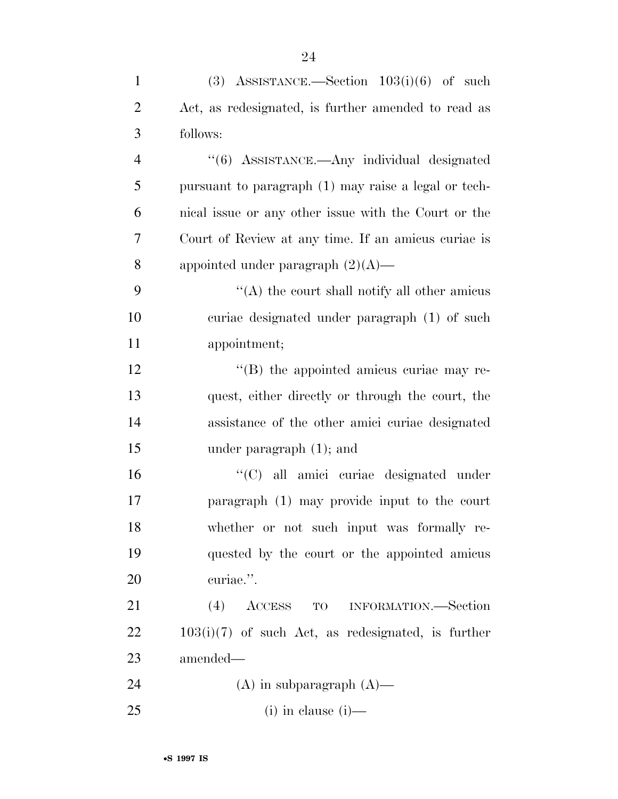| $\mathbf{1}$   | (3) ASSISTANCE.—Section $103(i)(6)$ of such          |
|----------------|------------------------------------------------------|
| $\overline{2}$ | Act, as redesignated, is further amended to read as  |
| 3              | follows:                                             |
| $\overline{4}$ | "(6) ASSISTANCE.—Any individual designated           |
| 5              | pursuant to paragraph (1) may raise a legal or tech- |
| 6              | nical issue or any other issue with the Court or the |
| 7              | Court of Review at any time. If an amicus curiae is  |
| 8              | appointed under paragraph $(2)(A)$ —                 |
| 9              | "(A) the court shall notify all other amicus         |
| 10             | curiae designated under paragraph (1) of such        |
| 11             | appointment;                                         |
| 12             | $\lq\lq$ (B) the appointed amicus curiae may re-     |
| 13             | quest, either directly or through the court, the     |
| 14             | assistance of the other amici curiae designated      |
| 15             | under paragraph $(1)$ ; and                          |
| 16             | "(C) all amici curiae designated under               |
| 17             | paragraph (1) may provide input to the court         |
| 18             | whether or not such input was formally re-           |
| 19             | quested by the court or the appointed amicus         |
| 20             | curiae.".                                            |
| 21             | (4)<br>${\rm ACCESS}$<br>TO INFORMATION.—Section     |
| 22             | $103(i)(7)$ of such Act, as redesignated, is further |
| 23             | amended—                                             |
| 24             | $(A)$ in subparagraph $(A)$ —                        |
| 25             | $(i)$ in clause $(i)$ —                              |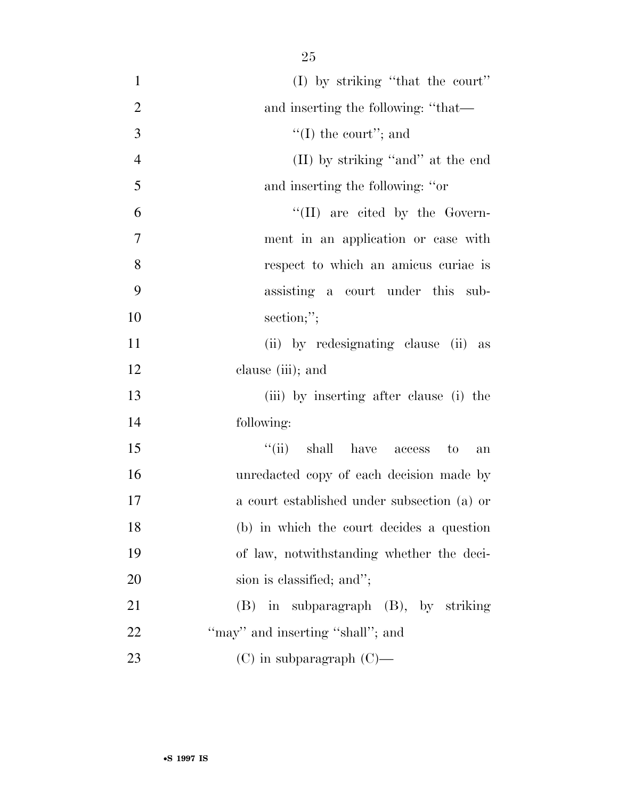| $\mathbf{1}$   | (I) by striking "that the court"            |
|----------------|---------------------------------------------|
| $\overline{2}$ | and inserting the following: "that—         |
| 3              | "(I) the court"; and                        |
| $\overline{4}$ | (II) by striking "and" at the end           |
| 5              | and inserting the following: "or            |
| 6              | $\lq\lq$ (II) are cited by the Govern-      |
| $\tau$         | ment in an application or case with         |
| 8              | respect to which an amicus curiae is        |
| 9              | assisting a court under this sub-           |
| 10             | section;";                                  |
| 11             | (ii) by redesignating clause (ii) as        |
| 12             | clause (iii); and                           |
| 13             | (iii) by inserting after clause (i) the     |
| 14             | following:                                  |
| 15             | ``(ii)<br>shall have access to<br>an        |
| 16             | unredacted copy of each decision made by    |
| 17             | a court established under subsection (a) or |
| 18             | (b) in which the court decides a question   |
| 19             | of law, notwithstanding whether the deci-   |
| 20             | sion is classified; and";                   |
| 21             | (B) in subparagraph (B), by striking        |
| 22             | "may" and inserting "shall"; and            |
| 23             | $(C)$ in subparagraph $(C)$ —               |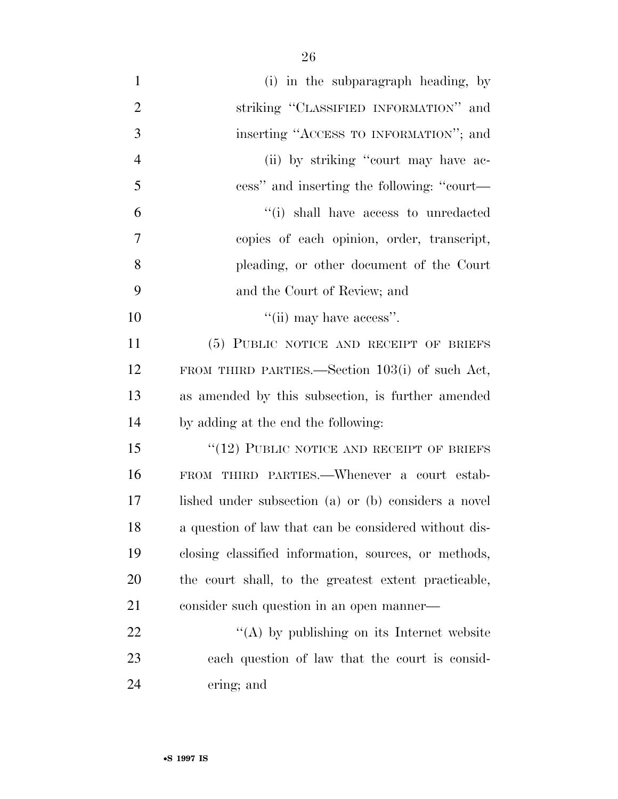| $\mathbf{1}$   | (i) in the subparagraph heading, by                   |
|----------------|-------------------------------------------------------|
| $\overline{2}$ | striking "CLASSIFIED INFORMATION" and                 |
| 3              | inserting "ACCESS TO INFORMATION"; and                |
| $\overline{4}$ | (ii) by striking "court may have ac-                  |
| 5              | cess" and inserting the following: "court—            |
| 6              | "(i) shall have access to unredacted                  |
| 7              | copies of each opinion, order, transcript,            |
| 8              | pleading, or other document of the Court              |
| 9              | and the Court of Review; and                          |
| 10             | $\lq\lq$ (ii) may have access".                       |
| 11             | (5) PUBLIC NOTICE AND RECEIPT OF BRIEFS               |
| 12             | FROM THIRD PARTIES.—Section $103(i)$ of such Act,     |
| 13             | as amended by this subsection, is further amended     |
| 14             | by adding at the end the following:                   |
| 15             | $\lq (12)$ PUBLIC NOTICE AND RECEIPT OF BRIEFS        |
| 16             | FROM THIRD PARTIES.—Whenever a court estab-           |
| 17             | lished under subsection (a) or (b) considers a novel  |
| 18             | a question of law that can be considered without dis- |
| 19             | closing classified information, sources, or methods,  |
| 20             | the court shall, to the greatest extent practicable,  |
| 21             | consider such question in an open manner—             |
| 22             | "(A) by publishing on its Internet website            |
| 23             | each question of law that the court is consid-        |
| 24             | ering; and                                            |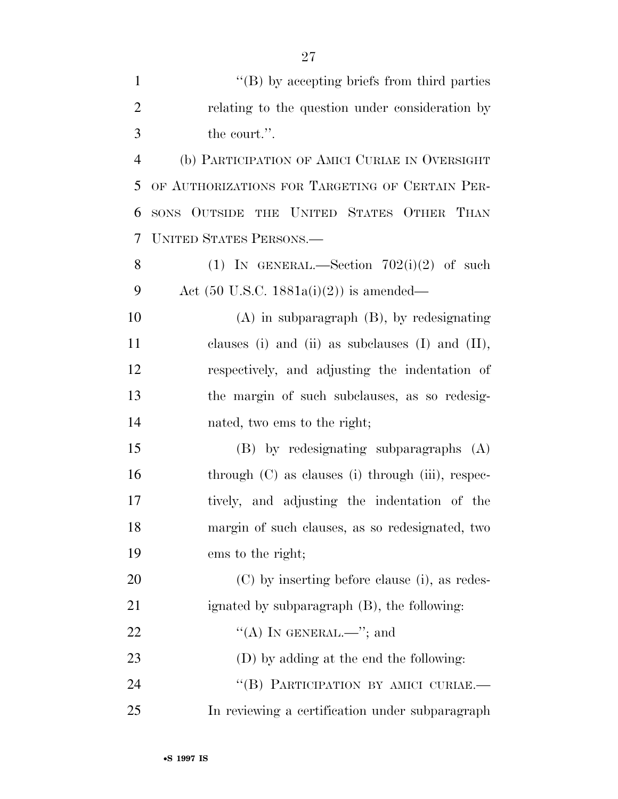|                | ZI                                                  |
|----------------|-----------------------------------------------------|
| $\mathbf{1}$   | "(B) by accepting briefs from third parties         |
| $\overline{2}$ | relating to the question under consideration by     |
| 3              | the court.".                                        |
| $\overline{4}$ | (b) PARTICIPATION OF AMICI CURIAE IN OVERSIGHT      |
| 5              | OF AUTHORIZATIONS FOR TARGETING OF CERTAIN PER-     |
| 6              | SONS OUTSIDE THE UNITED STATES OTHER THAN           |
| 7              | <b>UNITED STATES PERSONS.—</b>                      |
| 8              | (1) IN GENERAL.—Section $702(i)(2)$ of such         |
| 9              | Act $(50 \text{ U.S.C. } 1881a(i)(2))$ is amended—  |
| 10             | $(A)$ in subparagraph $(B)$ , by redesignating      |
| 11             | clauses (i) and (ii) as subclauses (I) and $(II)$ , |
| 12             | respectively, and adjusting the indentation of      |
| 13             | the margin of such subclauses, as so redesig-       |
| 14             | nated, two ems to the right;                        |
| 15             | $(B)$ by redesignating subparagraphs $(A)$          |
| 16             | through $(C)$ as clauses (i) through (iii), respec- |
| 17             | tively, and adjusting the indentation of the        |
| 18             | margin of such clauses, as so redesignated, two     |
| 19             | ems to the right;                                   |
| 20             | (C) by inserting before clause (i), as redes-       |
| 21             | ignated by subparagraph (B), the following:         |
| 22             | "(A) IN GENERAL.—"; and                             |
| 23             | (D) by adding at the end the following:             |
| 24             | "(B) PARTICIPATION BY AMICI CURIAE.-                |
| 25             | In reviewing a certification under subparagraph     |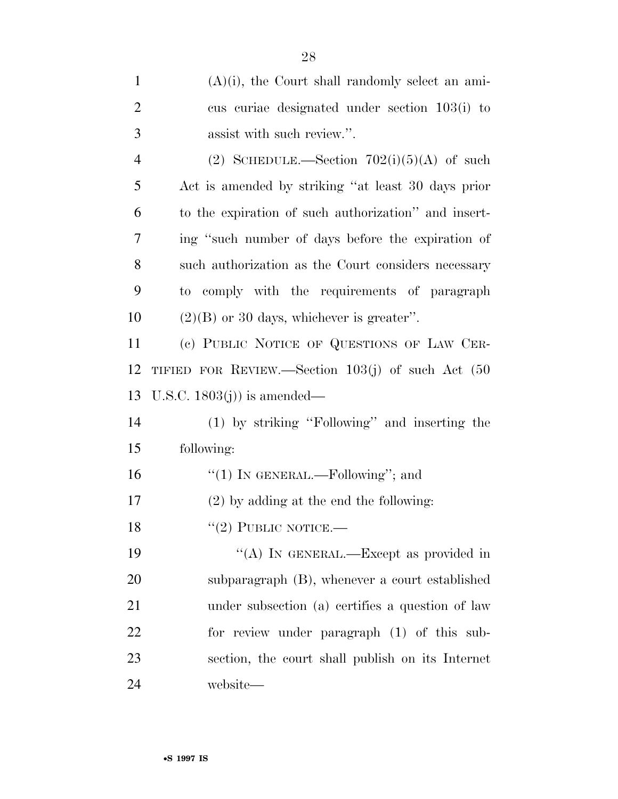| $\mathbf{1}$   | $(A)(i)$ , the Court shall randomly select an ami-     |
|----------------|--------------------------------------------------------|
| $\overline{2}$ | cus curiae designated under section 103(i) to          |
| 3              | assist with such review.".                             |
| $\overline{4}$ | (2) SCHEDULE.—Section $702(i)(5)(A)$ of such           |
| 5              | Act is amended by striking "at least 30 days prior     |
| 6              | to the expiration of such authorization" and insert-   |
| 7              | ing "such number of days before the expiration of      |
| 8              | such authorization as the Court considers necessary    |
| 9              | to comply with the requirements of paragraph           |
| 10             | $(2)(B)$ or 30 days, whichever is greater".            |
| 11             | (c) PUBLIC NOTICE OF QUESTIONS OF LAW CER-             |
| 12             | TIFIED FOR REVIEW.—Section $103(j)$ of such Act $(50)$ |
| 13             | U.S.C. $1803(j)$ is amended—                           |
| 14             | (1) by striking "Following" and inserting the          |
| 15             | following:                                             |
| 16             | "(1) IN GENERAL.—Following"; and                       |
| 17             | $(2)$ by adding at the end the following:              |
| 18             | $``(2)$ PUBLIC NOTICE.—                                |
| 19             | "(A) IN GENERAL.—Except as provided in                 |
| 20             | subparagraph (B), whenever a court established         |
| 21             | under subsection (a) certifies a question of law       |
| 22             | for review under paragraph (1) of this sub-            |
| 23             | section, the court shall publish on its Internet       |
| 24             | website—                                               |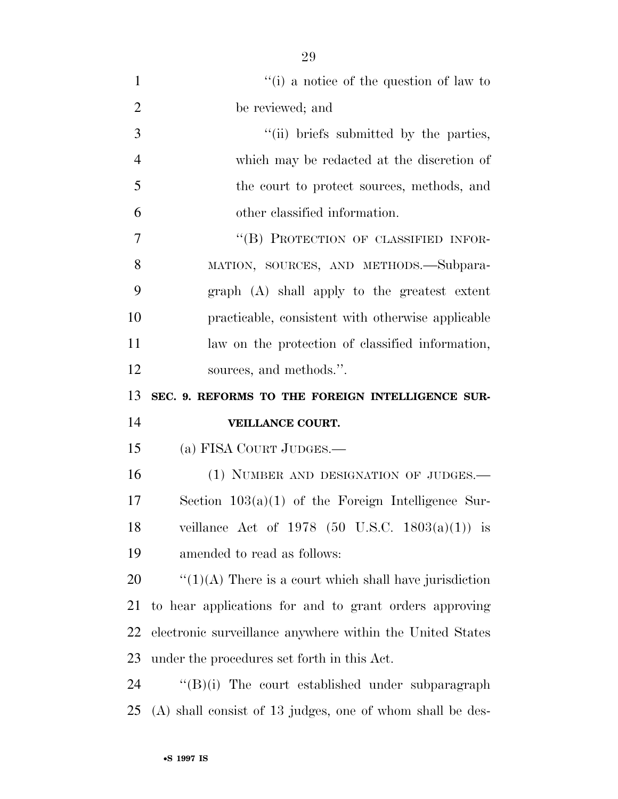| $\mathbf{1}$   | $f'(i)$ a notice of the question of law to                 |
|----------------|------------------------------------------------------------|
| $\overline{2}$ | be reviewed; and                                           |
| 3              | "(ii) briefs submitted by the parties,                     |
| $\overline{4}$ | which may be redacted at the discretion of                 |
| 5              | the court to protect sources, methods, and                 |
| 6              | other classified information.                              |
| 7              | "(B) PROTECTION OF CLASSIFIED INFOR-                       |
| 8              | MATION, SOURCES, AND METHODS.—Subpara-                     |
| 9              | graph (A) shall apply to the greatest extent               |
| 10             | practicable, consistent with otherwise applicable          |
| 11             | law on the protection of classified information,           |
| 12             | sources, and methods.".                                    |
| 13             | SEC. 9. REFORMS TO THE FOREIGN INTELLIGENCE SUR-           |
|                |                                                            |
| 14             | VEILLANCE COURT.                                           |
| 15             | (a) FISA COURT JUDGES.—                                    |
| 16             | (1) NUMBER AND DESIGNATION OF JUDGES.-                     |
| 17             | Section $103(a)(1)$ of the Foreign Intelligence Sur-       |
| 18             | veillance Act of 1978 (50 U.S.C. 1803(a)(1)) is            |
| 19             | amended to read as follows:                                |
| 20             | $\lq(1)(A)$ There is a court which shall have jurisdiction |
| 21             | to hear applications for and to grant orders approving     |
| 22             | electronic surveillance anywhere within the United States  |
| 23             | under the procedures set forth in this Act.                |
| 24             | "(B)(i) The court established under subparagraph           |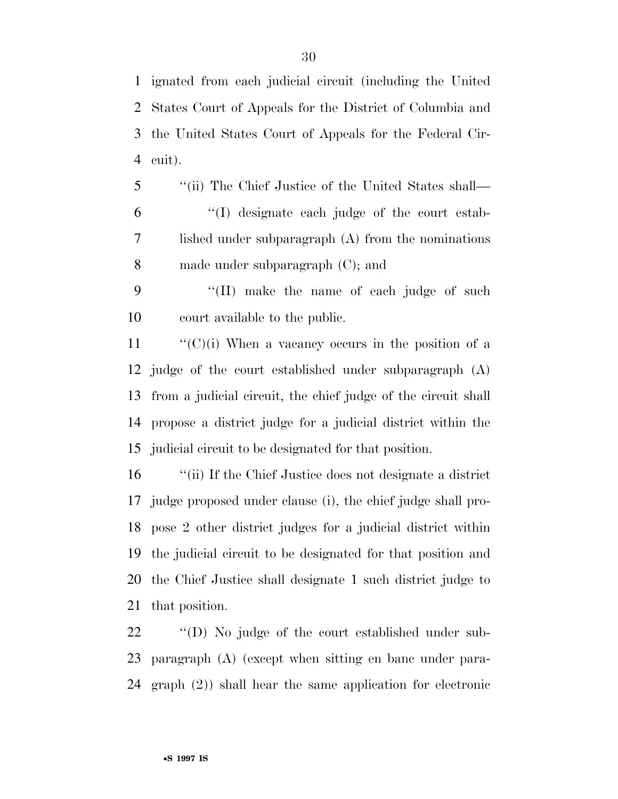ignated from each judicial circuit (including the United States Court of Appeals for the District of Columbia and the United States Court of Appeals for the Federal Cir-cuit).

- ''(ii) The Chief Justice of the United States shall— ''(I) designate each judge of the court estab- lished under subparagraph (A) from the nominations made under subparagraph (C); and
- ''(II) make the name of each judge of such court available to the public.

 $\langle (C)(i)$  When a vacancy occurs in the position of a judge of the court established under subparagraph (A) from a judicial circuit, the chief judge of the circuit shall propose a district judge for a judicial district within the judicial circuit to be designated for that position.

 ''(ii) If the Chief Justice does not designate a district judge proposed under clause (i), the chief judge shall pro- pose 2 other district judges for a judicial district within the judicial circuit to be designated for that position and the Chief Justice shall designate 1 such district judge to that position.

 ''(D) No judge of the court established under sub- paragraph (A) (except when sitting en banc under para-graph (2)) shall hear the same application for electronic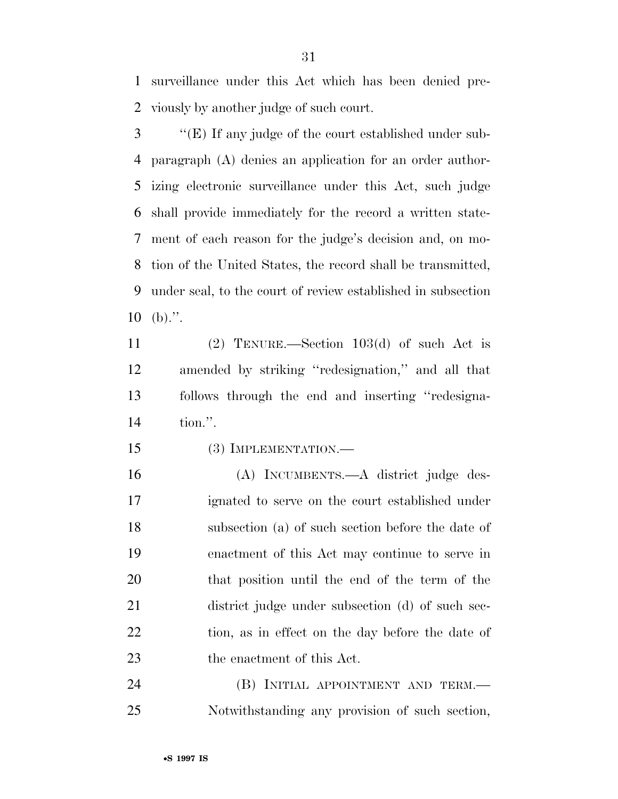surveillance under this Act which has been denied pre-viously by another judge of such court.

 ''(E) If any judge of the court established under sub- paragraph (A) denies an application for an order author- izing electronic surveillance under this Act, such judge shall provide immediately for the record a written state- ment of each reason for the judge's decision and, on mo- tion of the United States, the record shall be transmitted, under seal, to the court of review established in subsection (b).".

 (2) TENURE.—Section 103(d) of such Act is amended by striking ''redesignation,'' and all that follows through the end and inserting ''redesigna-tion.''.

(3) IMPLEMENTATION.—

 (A) INCUMBENTS.—A district judge des- ignated to serve on the court established under subsection (a) of such section before the date of enactment of this Act may continue to serve in that position until the end of the term of the district judge under subsection (d) of such sec-22 tion, as in effect on the day before the date of 23 the enactment of this Act.

24 (B) INITIAL APPOINTMENT AND TERM.— Notwithstanding any provision of such section,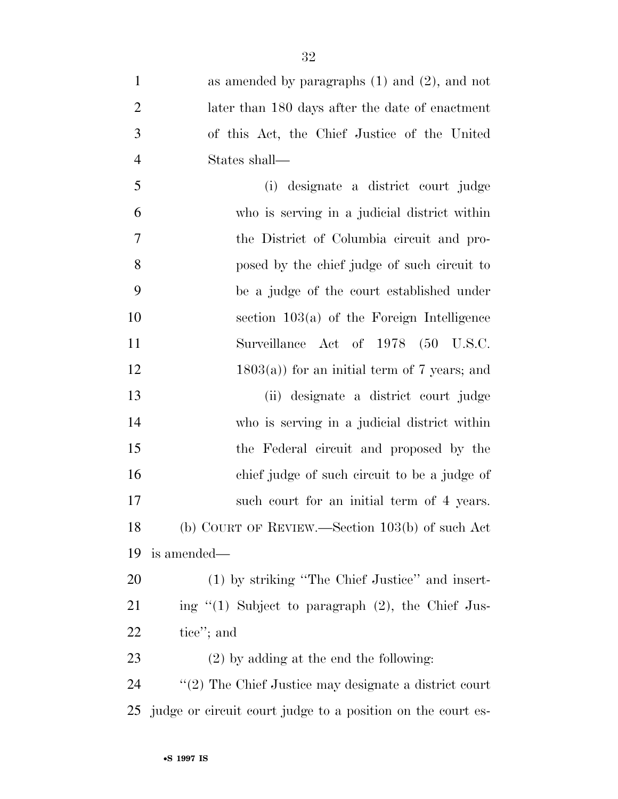as amended by paragraphs (1) and (2), and not later than 180 days after the date of enactment of this Act, the Chief Justice of the United States shall— (i) designate a district court judge who is serving in a judicial district within the District of Columbia circuit and pro- posed by the chief judge of such circuit to be a judge of the court established under section 103(a) of the Foreign Intelligence Surveillance Act of 1978 (50 U.S.C. 12 1803(a)) for an initial term of 7 years; and (ii) designate a district court judge who is serving in a judicial district within the Federal circuit and proposed by the chief judge of such circuit to be a judge of 17 such court for an initial term of 4 years. (b) COURT OF REVIEW.—Section 103(b) of such Act is amended— (1) by striking ''The Chief Justice'' and insert- ing "(1) Subject to paragraph (2), the Chief Jus- tice''; and (2) by adding at the end the following: ''(2) The Chief Justice may designate a district court

judge or circuit court judge to a position on the court es-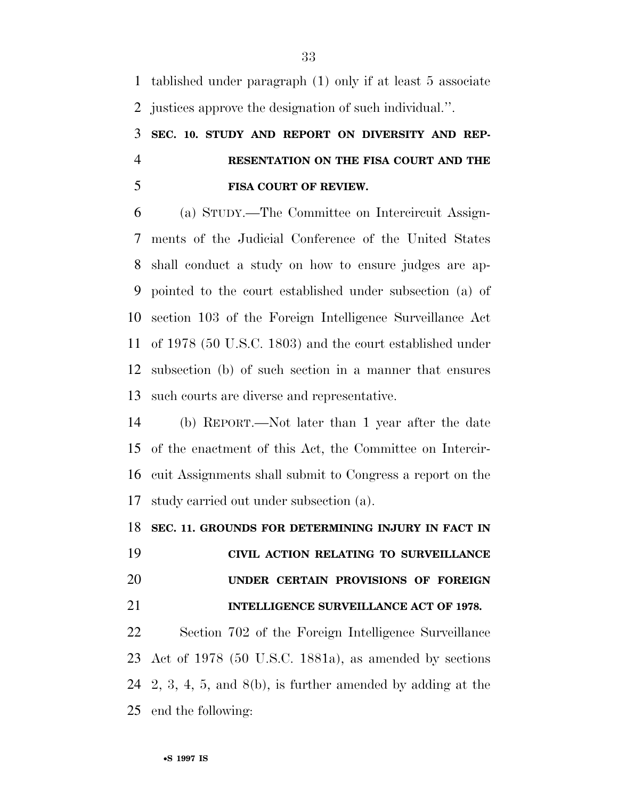tablished under paragraph (1) only if at least 5 associate justices approve the designation of such individual.''.

## **SEC. 10. STUDY AND REPORT ON DIVERSITY AND REP- RESENTATION ON THE FISA COURT AND THE FISA COURT OF REVIEW.**

 (a) STUDY.—The Committee on Intercircuit Assign- ments of the Judicial Conference of the United States shall conduct a study on how to ensure judges are ap- pointed to the court established under subsection (a) of section 103 of the Foreign Intelligence Surveillance Act of 1978 (50 U.S.C. 1803) and the court established under subsection (b) of such section in a manner that ensures such courts are diverse and representative.

 (b) REPORT.—Not later than 1 year after the date of the enactment of this Act, the Committee on Intercir- cuit Assignments shall submit to Congress a report on the study carried out under subsection (a).

**SEC. 11. GROUNDS FOR DETERMINING INJURY IN FACT IN** 

 **CIVIL ACTION RELATING TO SURVEILLANCE UNDER CERTAIN PROVISIONS OF FOREIGN INTELLIGENCE SURVEILLANCE ACT OF 1978.** 

 Section 702 of the Foreign Intelligence Surveillance Act of 1978 (50 U.S.C. 1881a), as amended by sections 2, 3, 4, 5, and 8(b), is further amended by adding at the end the following: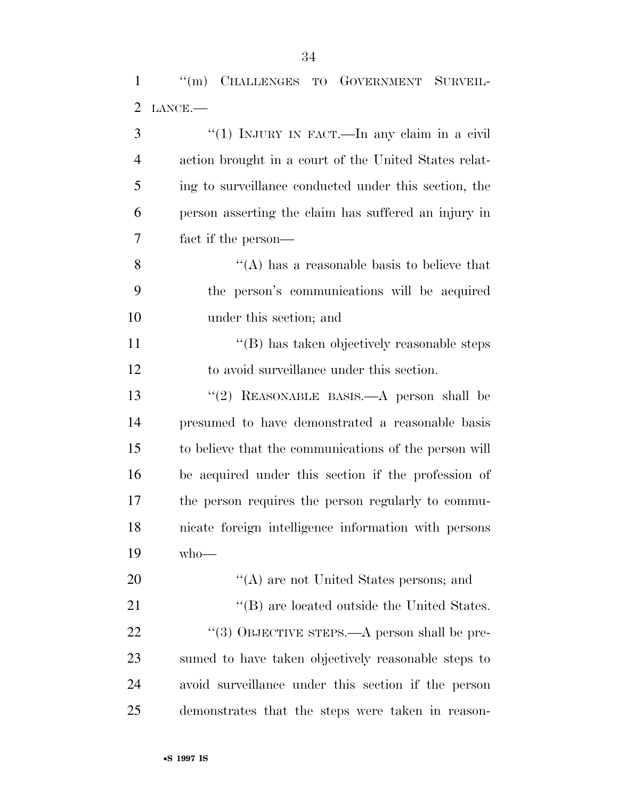''(m) CHALLENGES TO GOVERNMENT SURVEIL-LANCE.—

| 3              | "(1) INJURY IN FACT.—In any claim in a civil          |
|----------------|-------------------------------------------------------|
| $\overline{4}$ | action brought in a court of the United States relat- |
| 5              | ing to surveillance conducted under this section, the |
| 6              | person asserting the claim has suffered an injury in  |
| 7              | fact if the person—                                   |
| 8              | "(A) has a reasonable basis to believe that           |
| 9              | the person's communications will be acquired          |
| 10             | under this section; and                               |
| 11             | "(B) has taken objectively reasonable steps           |
| 12             | to avoid surveillance under this section.             |
| 13             | "(2) REASONABLE BASIS.—A person shall be              |
| 14             | presumed to have demonstrated a reasonable basis      |
| 15             | to believe that the communications of the person will |
| 16             | be acquired under this section if the profession of   |
| 17             | the person requires the person regularly to commu-    |
| 18             | nicate foreign intelligence information with persons  |
| 19             | $who$ —                                               |
| 20             | $\lq\lq$ (A) are not United States persons; and       |
| 21             | "(B) are located outside the United States.           |
| <u>22</u>      | "(3) OBJECTIVE STEPS.—A person shall be pre-          |
| 23             | sumed to have taken objectively reasonable steps to   |
| 24             | avoid surveillance under this section if the person   |
| 25             | demonstrates that the steps were taken in reason-     |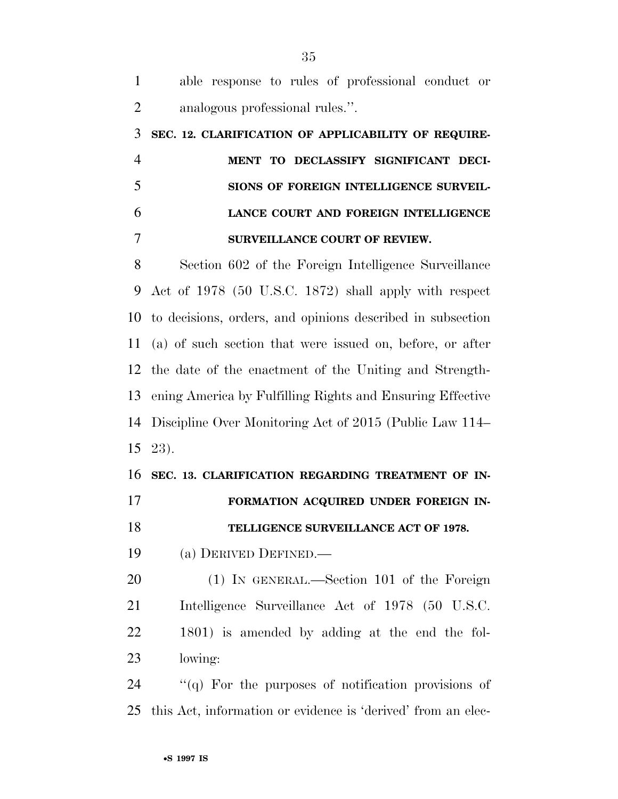| $\mathbf{1}$   | able response to rules of professional conduct or            |
|----------------|--------------------------------------------------------------|
| $\overline{2}$ | analogous professional rules.".                              |
| 3              | SEC. 12. CLARIFICATION OF APPLICABILITY OF REQUIRE-          |
| $\overline{4}$ | MENT TO DECLASSIFY SIGNIFICANT DECI-                         |
| 5              | SIONS OF FOREIGN INTELLIGENCE SURVEIL-                       |
| 6              | LANCE COURT AND FOREIGN INTELLIGENCE                         |
| 7              | SURVEILLANCE COURT OF REVIEW.                                |
| 8              | Section 602 of the Foreign Intelligence Surveillance         |
| 9              | Act of 1978 (50 U.S.C. 1872) shall apply with respect        |
| 10             | to decisions, orders, and opinions described in subsection   |
| 11             | (a) of such section that were issued on, before, or after    |
| 12             | the date of the enactment of the Uniting and Strength-       |
| 13             | ening America by Fulfilling Rights and Ensuring Effective    |
| 14             | Discipline Over Monitoring Act of 2015 (Public Law 114–      |
| 15             | 23).                                                         |
| 16             | SEC. 13. CLARIFICATION REGARDING TREATMENT OF IN-            |
| 17             | FORMATION ACQUIRED UNDER FOREIGN IN-                         |
| 18             | TELLIGENCE SURVEILLANCE ACT OF 1978.                         |
| 19             | (a) DERIVED DEFINED.—                                        |
| $20\,$         | (1) IN GENERAL.—Section 101 of the Foreign                   |
| 21             | Intelligence Surveillance Act of 1978 (50 U.S.C.             |
| 22             | 1801) is amended by adding at the end the fol-               |
| 23             | lowing:                                                      |
| 24             | $\lq( q \rq)$ For the purposes of notification provisions of |

this Act, information or evidence is 'derived' from an elec-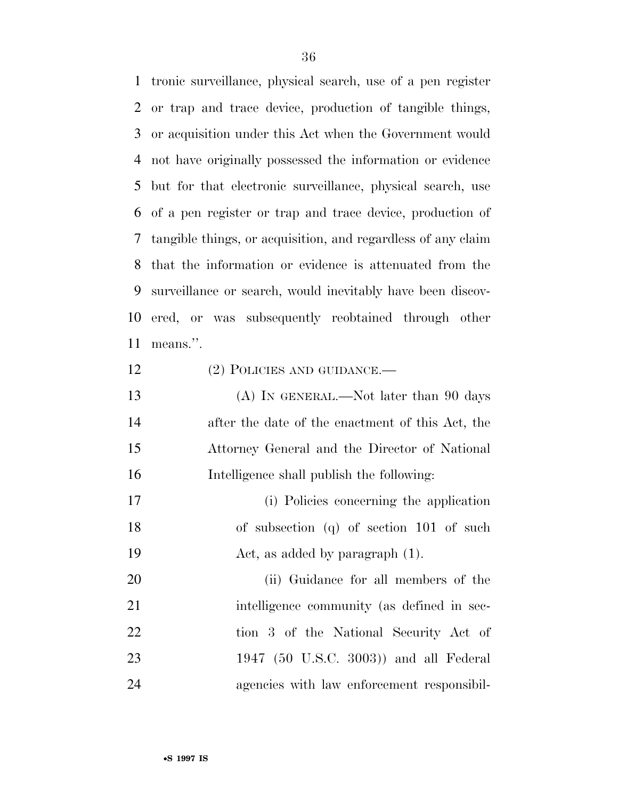tronic surveillance, physical search, use of a pen register or trap and trace device, production of tangible things, or acquisition under this Act when the Government would not have originally possessed the information or evidence but for that electronic surveillance, physical search, use of a pen register or trap and trace device, production of tangible things, or acquisition, and regardless of any claim that the information or evidence is attenuated from the surveillance or search, would inevitably have been discov- ered, or was subsequently reobtained through other means.''.

- 12 (2) POLICIES AND GUIDANCE.—
- 13 (A) IN GENERAL.—Not later than 90 days after the date of the enactment of this Act, the Attorney General and the Director of National Intelligence shall publish the following:
- (i) Policies concerning the application of subsection (q) of section 101 of such Act, as added by paragraph (1).

20 (ii) Guidance for all members of the 21 intelligence community (as defined in sec- tion 3 of the National Security Act of 1947 (50 U.S.C. 3003)) and all Federal agencies with law enforcement responsibil-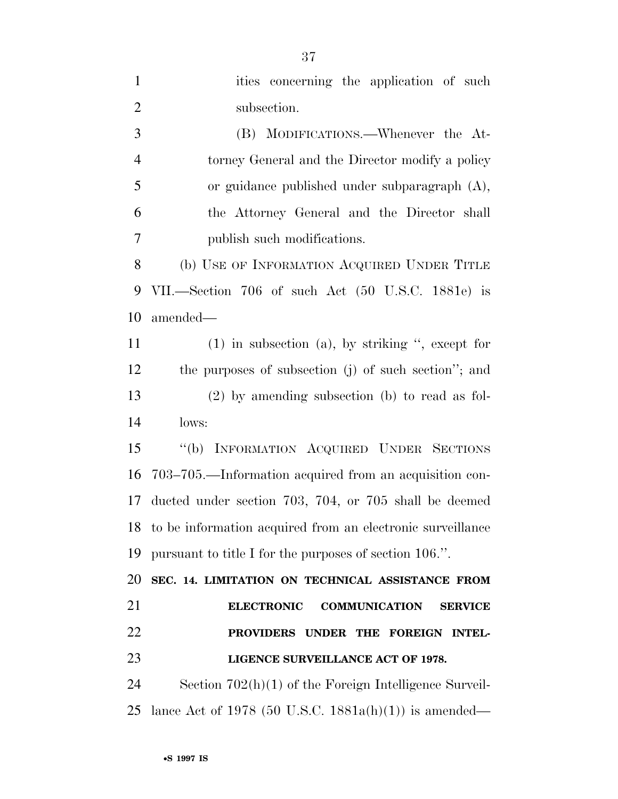| $\mathbf{1}$   | ities concerning the application of such                      |
|----------------|---------------------------------------------------------------|
| $\overline{2}$ | subsection.                                                   |
| 3              | (B) MODIFICATIONS.—Whenever the At-                           |
| $\overline{4}$ | torney General and the Director modify a policy               |
| 5              | or guidance published under subparagraph $(A)$ ,              |
| 6              | the Attorney General and the Director shall                   |
| 7              | publish such modifications.                                   |
| 8              | (b) USE OF INFORMATION ACQUIRED UNDER TITLE                   |
| 9              | VII.—Section 706 of such Act (50 U.S.C. 1881e) is             |
| 10             | amended—                                                      |
| 11             | $(1)$ in subsection $(a)$ , by striking ", except for         |
| 12             | the purposes of subsection (j) of such section"; and          |
| 13             | $(2)$ by amending subsection (b) to read as fol-              |
| 14             | lows:                                                         |
| 15             | "(b) INFORMATION ACQUIRED UNDER SECTIONS                      |
| 16             | 703–705.—Information acquired from an acquisition con-        |
| 17             | ducted under section 703, 704, or 705 shall be deemed         |
|                | 18 to be information acquired from an electronic surveillance |
| 19             | pursuant to title I for the purposes of section 106.".        |
| 20             | SEC. 14. LIMITATION ON TECHNICAL ASSISTANCE FROM              |
| 21             | <b>ELECTRONIC</b><br><b>COMMUNICATION</b><br><b>SERVICE</b>   |
| 22             | PROVIDERS UNDER THE FOREIGN INTEL-                            |
| 23             | LIGENCE SURVEILLANCE ACT OF 1978.                             |
| 24             | Section $702(h)(1)$ of the Foreign Intelligence Surveil-      |
| 25             | lance Act of 1978 (50 U.S.C. 1881a(h)(1)) is amended—         |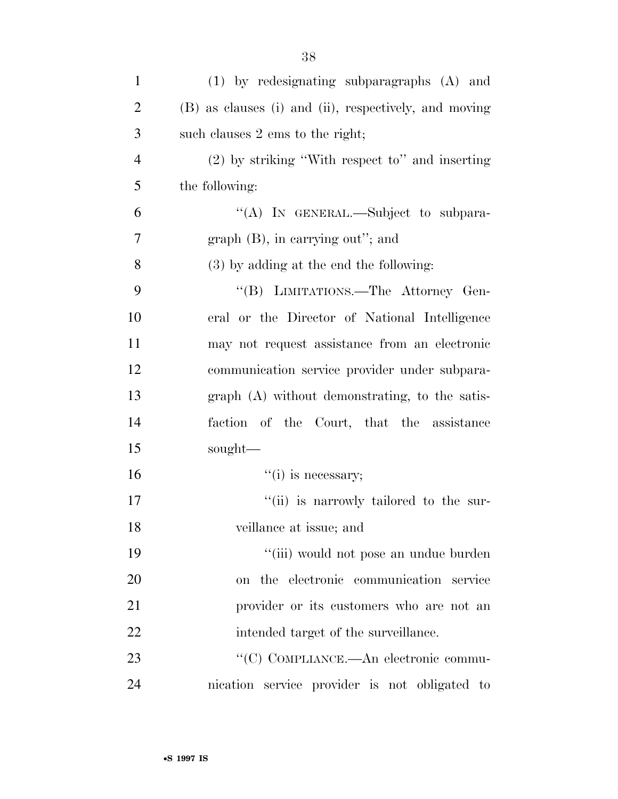| $\mathbf{1}$   | $(1)$ by redesignating subparagraphs $(A)$ and        |
|----------------|-------------------------------------------------------|
| $\overline{2}$ | (B) as clauses (i) and (ii), respectively, and moving |
| 3              | such clauses 2 ems to the right;                      |
| $\overline{4}$ | $(2)$ by striking "With respect to" and inserting     |
| 5              | the following:                                        |
| 6              | "(A) IN GENERAL.—Subject to subpara-                  |
| 7              | $graph(B)$ , in carrying out"; and                    |
| 8              | $(3)$ by adding at the end the following:             |
| 9              | "(B) LIMITATIONS.—The Attorney Gen-                   |
| 10             | eral or the Director of National Intelligence         |
| 11             | may not request assistance from an electronic         |
| 12             | communication service provider under subpara-         |
| 13             | graph (A) without demonstrating, to the satis-        |
| 14             | faction of the Court, that the assistance             |
| 15             | sought—                                               |
| 16             | "(i) is necessary;                                    |
| 17             | "(ii) is narrowly tailored to the sur-                |
| 18             | veillance at issue; and                               |
| 19             | "(iii) would not pose an undue burden                 |
| 20             | on the electronic communication service               |
| 21             | provider or its customers who are not an              |
| 22             | intended target of the surveillance.                  |
| 23             | "(C) COMPLIANCE.—An electronic commu-                 |
| 24             | nication service provider is not obligated to         |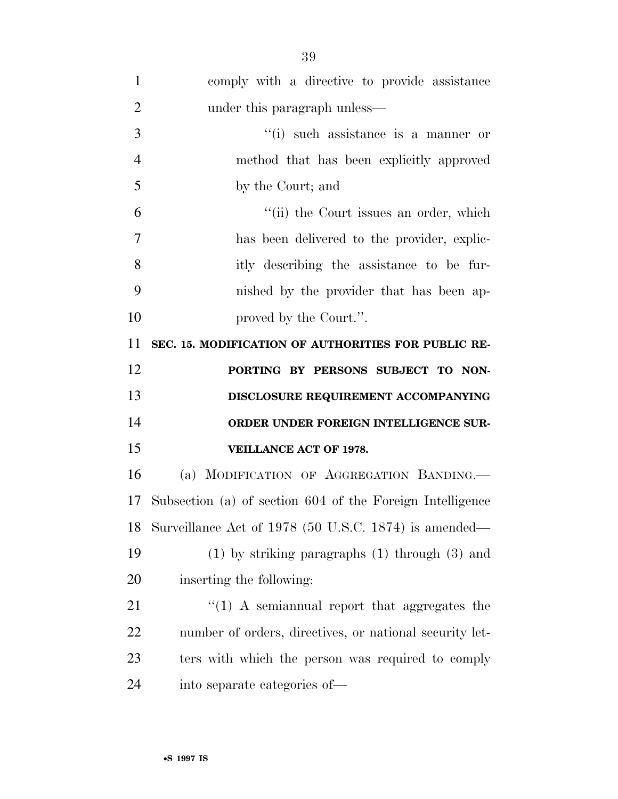| $\mathbf{1}$   | comply with a directive to provide assistance             |
|----------------|-----------------------------------------------------------|
| $\overline{2}$ | under this paragraph unless—                              |
| 3              | $``(i)$ such assistance is a manner or                    |
| $\overline{4}$ | method that has been explicitly approved                  |
| 5              | by the Court; and                                         |
| 6              | "(ii) the Court issues an order, which                    |
| 7              | has been delivered to the provider, explic-               |
| 8              | itly describing the assistance to be fur-                 |
| 9              | nished by the provider that has been ap-                  |
| 10             | proved by the Court.".                                    |
| 11             | SEC. 15. MODIFICATION OF AUTHORITIES FOR PUBLIC RE-       |
| 12             | PORTING BY PERSONS SUBJECT TO NON-                        |
| 13             | DISCLOSURE REQUIREMENT ACCOMPANYING                       |
| 14             | ORDER UNDER FOREIGN INTELLIGENCE SUR-                     |
| 15             | <b>VEILLANCE ACT OF 1978.</b>                             |
| 16             | (a) MODIFICATION OF AGGREGATION BANDING.                  |
| 17             | Subsection (a) of section 604 of the Foreign Intelligence |
| 18             |                                                           |
|                | Surveillance Act of 1978 (50 U.S.C. 1874) is amended—     |
| 19             | $(1)$ by striking paragraphs $(1)$ through $(3)$ and      |
|                | inserting the following:                                  |
| 20<br>21       | $\lq(1)$ A semiannual report that aggregates the          |
| 22             | number of orders, directives, or national security let-   |
| 23             | ters with which the person was required to comply         |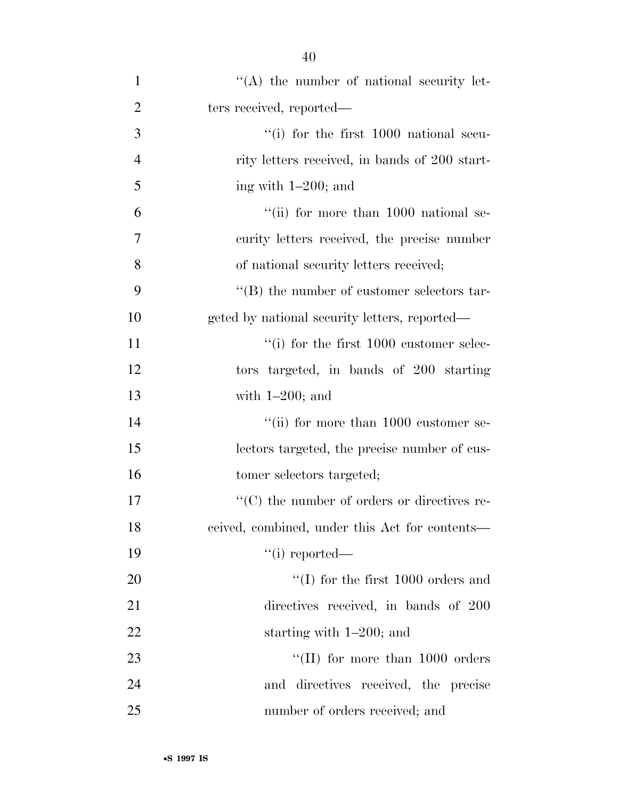| $\mathbf{1}$   | $\lq\lq$ the number of national security let-      |
|----------------|----------------------------------------------------|
| $\overline{2}$ | ters received, reported—                           |
| 3              | $\lq\lq$ (i) for the first 1000 national secu-     |
| $\overline{4}$ | rity letters received, in bands of 200 start-      |
| 5              | ing with $1-200$ ; and                             |
| 6              | "(ii) for more than $1000$ national se-            |
| 7              | curity letters received, the precise number        |
| 8              | of national security letters received;             |
| 9              | $\lq\lq$ the number of customer selectors tar-     |
| 10             | geted by national security letters, reported—      |
| 11             | $``(i)$ for the first 1000 customer selec-         |
| 12             | tors targeted, in bands of 200 starting            |
| 13             | with $1-200$ ; and                                 |
| 14             | "(ii) for more than $1000$ customer se-            |
| 15             | lectors targeted, the precise number of cus-       |
| 16             | tomer selectors targeted;                          |
| 17             | $\cdot$ (C) the number of orders or directives re- |
| 18             | eeived, combined, under this Act for contents—     |
| 19             | $``(i)$ reported—                                  |
| 20             | $\lq\lq$ (I) for the first 1000 orders and         |
| 21             | directives received, in bands of 200               |
| 22             | starting with $1-200$ ; and                        |
| 23             | "(II) for more than $1000$ orders                  |
| 24             | and directives received, the precise               |
| 25             | number of orders received; and                     |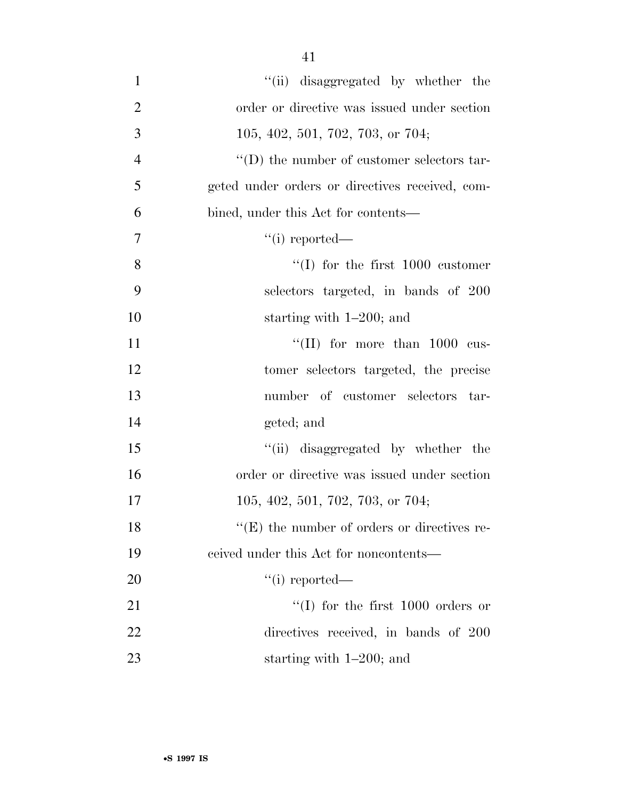| $\mathbf{1}$   | "(ii) disaggregated by whether the                 |
|----------------|----------------------------------------------------|
| $\overline{2}$ | order or directive was issued under section        |
| 3              | $105, 402, 501, 702, 703,$ or $704;$               |
| $\overline{4}$ | $\lq\lq$ (D) the number of customer selectors tar- |
| 5              | geted under orders or directives received, com-    |
| 6              | bined, under this Act for contents—                |
| $\overline{7}$ | $``(i)$ reported—                                  |
| 8              | $\lq (I)$ for the first 1000 customer              |
| 9              | selectors targeted, in bands of 200                |
| 10             | starting with $1-200$ ; and                        |
| 11             | "(II) for more than $1000$ cus-                    |
| 12             | tomer selectors targeted, the precise              |
| 13             | number of customer selectors tar-                  |
| 14             | geted; and                                         |
| 15             | "(ii) disaggregated by whether the                 |
| 16             | order or directive was issued under section        |
| 17             | 105, 402, 501, 702, 703, or 704;                   |
| 18             | $\lq\lq(E)$ the number of orders or directives re- |
| 19             | eeived under this Act for noncontents—             |
| 20             | $``(i)$ reported—                                  |
| 21             | "(I) for the first $1000$ orders or                |
| 22             | directives received, in bands of 200               |
| 23             | starting with $1-200$ ; and                        |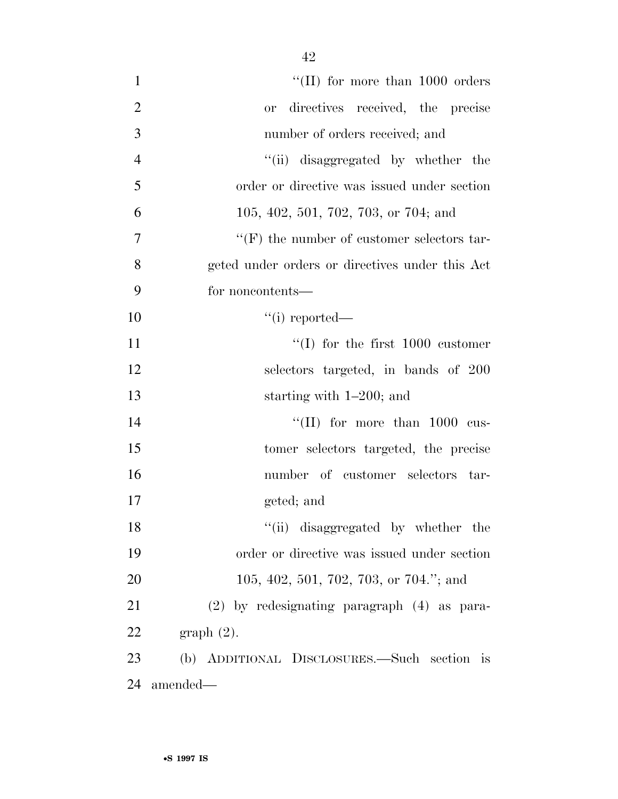| $\mathbf{1}$   | "(II) for more than $1000$ orders                 |
|----------------|---------------------------------------------------|
| $\overline{2}$ | directives received, the precise<br><b>or</b>     |
| 3              | number of orders received; and                    |
| $\overline{4}$ | "(ii) disaggregated by whether the                |
| 5              | order or directive was issued under section       |
| 6              | 105, 402, 501, 702, 703, or 704; and              |
| 7              | $\lq\lq(F)$ the number of customer selectors tar- |
| 8              | geted under orders or directives under this Act   |
| 9              | for noncontents—                                  |
| 10             | $``(i)$ reported—                                 |
| 11             | $\lq(1)$ for the first 1000 customer              |
| 12             | selectors targeted, in bands of 200               |
| 13             | starting with $1-200$ ; and                       |
| 14             | "(II) for more than $1000$ cus-                   |
| 15             | tomer selectors targeted, the precise             |
| 16             | number of customer selectors tar-                 |
| 17             | geted; and                                        |
| 18             | "(ii) disaggregated by whether the                |
| 19             | order or directive was issued under section       |
| 20             | 105, 402, 501, 702, 703, or 704."; and            |
| 21             | (2) by redesignating paragraph (4) as para-       |
| 22             | $graph(2)$ .                                      |
| 23             | (b) ADDITIONAL DISCLOSURES.—Such section is       |
| 24             | amended—                                          |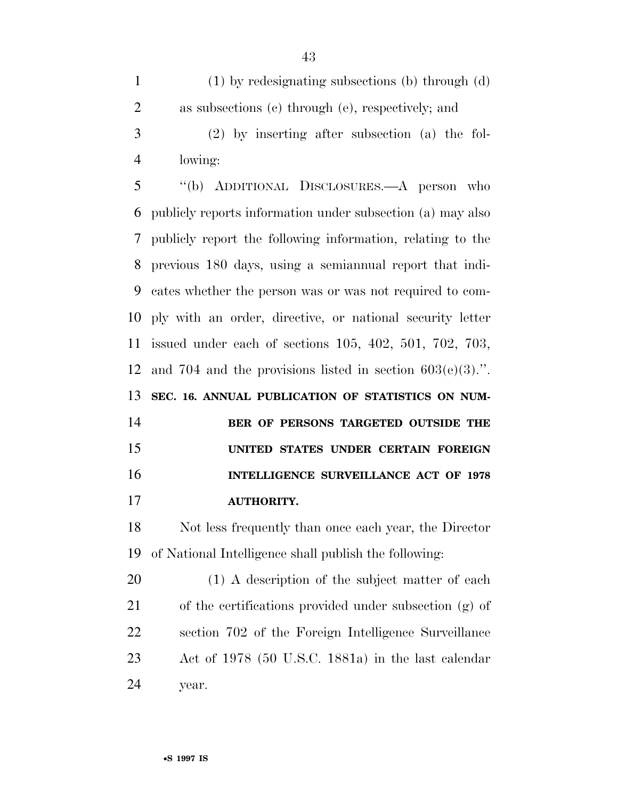(1) by redesignating subsections (b) through (d) as subsections (c) through (e), respectively; and (2) by inserting after subsection (a) the fol-lowing:

 ''(b) ADDITIONAL DISCLOSURES.—A person who publicly reports information under subsection (a) may also publicly report the following information, relating to the previous 180 days, using a semiannual report that indi- cates whether the person was or was not required to com- ply with an order, directive, or national security letter issued under each of sections 105, 402, 501, 702, 703, 12 and 704 and the provisions listed in section  $603(e)(3)$ .". **SEC. 16. ANNUAL PUBLICATION OF STATISTICS ON NUM-**

 **BER OF PERSONS TARGETED OUTSIDE THE UNITED STATES UNDER CERTAIN FOREIGN INTELLIGENCE SURVEILLANCE ACT OF 1978 AUTHORITY.** 

 Not less frequently than once each year, the Director of National Intelligence shall publish the following:

 (1) A description of the subject matter of each of the certifications provided under subsection (g) of section 702 of the Foreign Intelligence Surveillance Act of 1978 (50 U.S.C. 1881a) in the last calendar year.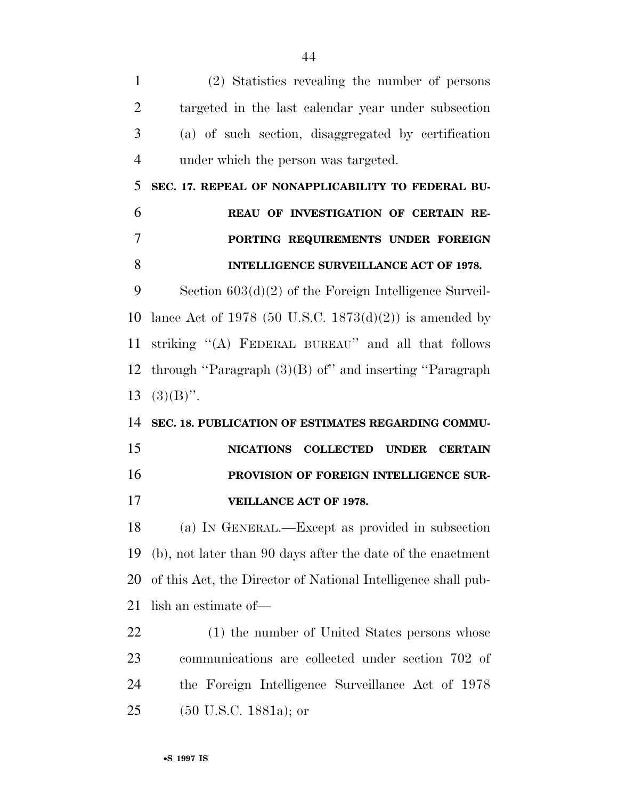(2) Statistics revealing the number of persons targeted in the last calendar year under subsection (a) of such section, disaggregated by certification under which the person was targeted. **SEC. 17. REPEAL OF NONAPPLICABILITY TO FEDERAL BU- REAU OF INVESTIGATION OF CERTAIN RE- PORTING REQUIREMENTS UNDER FOREIGN INTELLIGENCE SURVEILLANCE ACT OF 1978.**  Section 603(d)(2) of the Foreign Intelligence Surveil- lance Act of 1978 (50 U.S.C. 1873(d)(2)) is amended by striking ''(A) FEDERAL BUREAU'' and all that follows through ''Paragraph (3)(B) of'' and inserting ''Paragraph  $13 \quad (3)(B)$ ". **SEC. 18. PUBLICATION OF ESTIMATES REGARDING COMMU- NICATIONS COLLECTED UNDER CERTAIN PROVISION OF FOREIGN INTELLIGENCE SUR- VEILLANCE ACT OF 1978.**  (a) IN GENERAL.—Except as provided in subsection (b), not later than 90 days after the date of the enactment of this Act, the Director of National Intelligence shall pub- lish an estimate of— 22 (1) the number of United States persons whose communications are collected under section 702 of the Foreign Intelligence Surveillance Act of 1978 (50 U.S.C. 1881a); or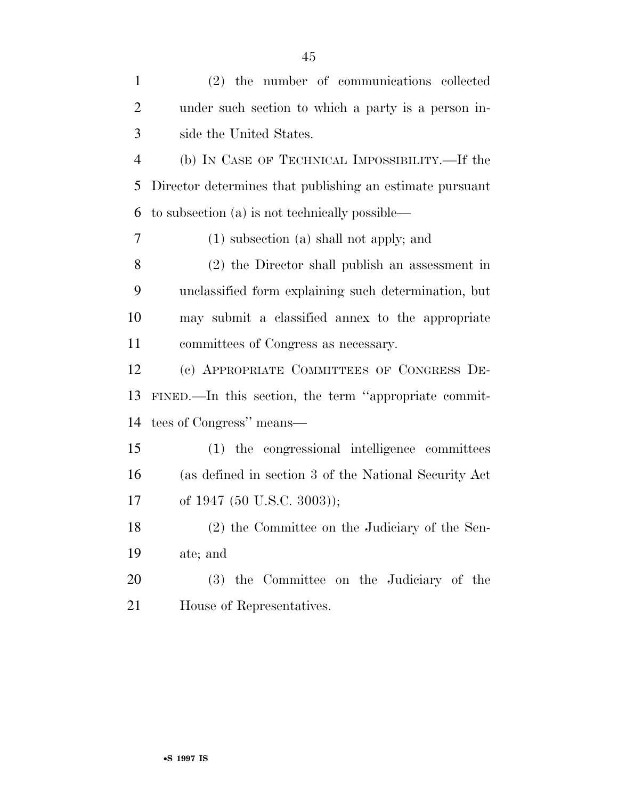| $\mathbf{1}$   | (2) the number of communications collected               |
|----------------|----------------------------------------------------------|
| $\overline{2}$ | under such section to which a party is a person in-      |
| 3              | side the United States.                                  |
| $\overline{4}$ | (b) IN CASE OF TECHNICAL IMPOSSIBILITY.—If the           |
| 5              | Director determines that publishing an estimate pursuant |
| 6              | to subsection (a) is not technically possible—           |
| 7              | $(1)$ subsection $(a)$ shall not apply; and              |
| 8              | (2) the Director shall publish an assessment in          |
| 9              | unclassified form explaining such determination, but     |
| 10             | may submit a classified annex to the appropriate         |
| 11             | committees of Congress as necessary.                     |
| 12             | (c) APPROPRIATE COMMITTEES OF CONGRESS DE-               |
| 13             | FINED.—In this section, the term "appropriate commit-    |
| 14             | tees of Congress" means—                                 |
| 15             | (1) the congressional intelligence committees            |
| 16             | (as defined in section 3 of the National Security Act    |
| 17             | of 1947 (50 U.S.C. 3003));                               |
| 18             | (2) the Committee on the Judiciary of the Sen-           |
| 19             | ate; and                                                 |
| 20             | (3) the Committee on the Judiciary of the                |
| 21             | House of Representatives.                                |